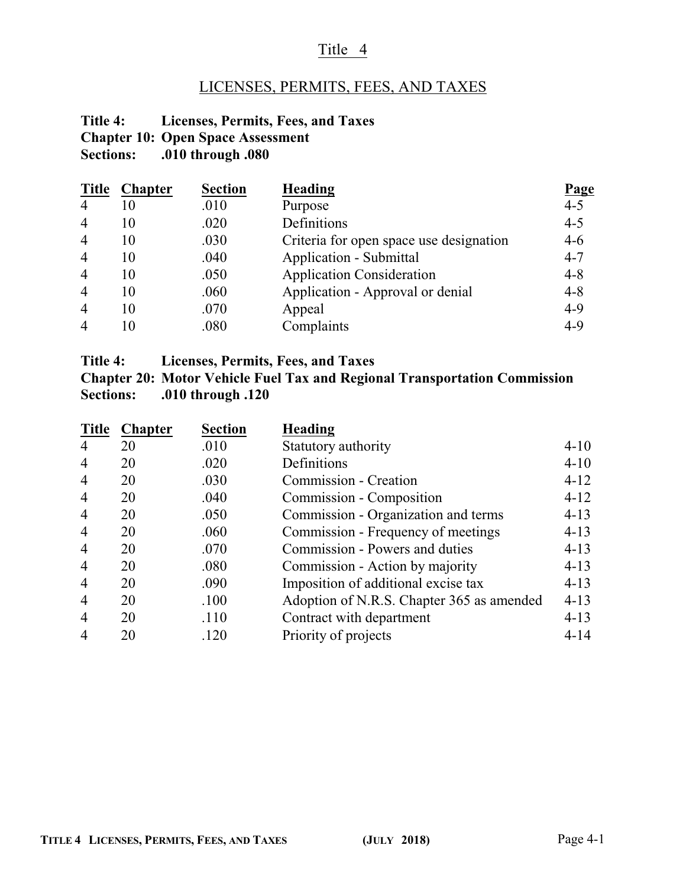### Title 4

# LICENSES, PERMITS, FEES, AND TAXES

### **Title 4: Licenses, Permits, Fees, and Taxes Chapter 10: Open Space Assessment**<br>Sections: .010 through .080 **Sections: .010 through .080**

| <b>Title</b>   | <b>Chapter</b> | <b>Section</b> | <b>Heading</b>                          | Page    |
|----------------|----------------|----------------|-----------------------------------------|---------|
| $\overline{4}$ | 10             | .010           | Purpose                                 | $4 - 5$ |
| $\overline{4}$ | 10             | .020           | Definitions                             | $4 - 5$ |
| $\overline{4}$ | 10             | .030           | Criteria for open space use designation | $4 - 6$ |
| $\overline{4}$ | 10             | .040           | <b>Application - Submittal</b>          | $4 - 7$ |
| $\overline{4}$ | 10             | .050           | <b>Application Consideration</b>        | $4 - 8$ |
| $\overline{4}$ | 10             | .060           | Application - Approval or denial        | $4 - 8$ |
| $\overline{4}$ | 10             | .070           | Appeal                                  | $4 - 9$ |
| $\overline{4}$ | 10             | .080           | Complaints                              | $4-9$   |

| Title 4: | Licenses, Permits, Fees, and Taxes |  |  |  |  |
|----------|------------------------------------|--|--|--|--|
|----------|------------------------------------|--|--|--|--|

| <b>Chapter 20: Motor Vehicle Fuel Tax and Regional Transportation Commission</b> |
|----------------------------------------------------------------------------------|
| Sections: .010 through .120                                                      |

| <b>Chapter</b> | <b>Section</b> | <b>Heading</b>                            |          |
|----------------|----------------|-------------------------------------------|----------|
| 20             | .010           | Statutory authority                       | $4 - 10$ |
| 20             | .020           | Definitions                               | $4 - 10$ |
| 20             | .030           | Commission - Creation                     | $4 - 12$ |
| 20             | .040           | Commission - Composition                  | $4 - 12$ |
| 20             | .050           | Commission - Organization and terms       | $4 - 13$ |
| 20             | .060           | Commission - Frequency of meetings        | $4 - 13$ |
| 20             | .070           | Commission - Powers and duties            | $4 - 13$ |
| 20             | .080           | Commission - Action by majority           | $4 - 13$ |
| 20             | .090           | Imposition of additional excise tax       | $4 - 13$ |
| 20             | .100           | Adoption of N.R.S. Chapter 365 as amended | $4 - 13$ |
| 20             | .110           | Contract with department                  | $4 - 13$ |
| 20             | .120           | Priority of projects                      | $4 - 14$ |
|                |                |                                           |          |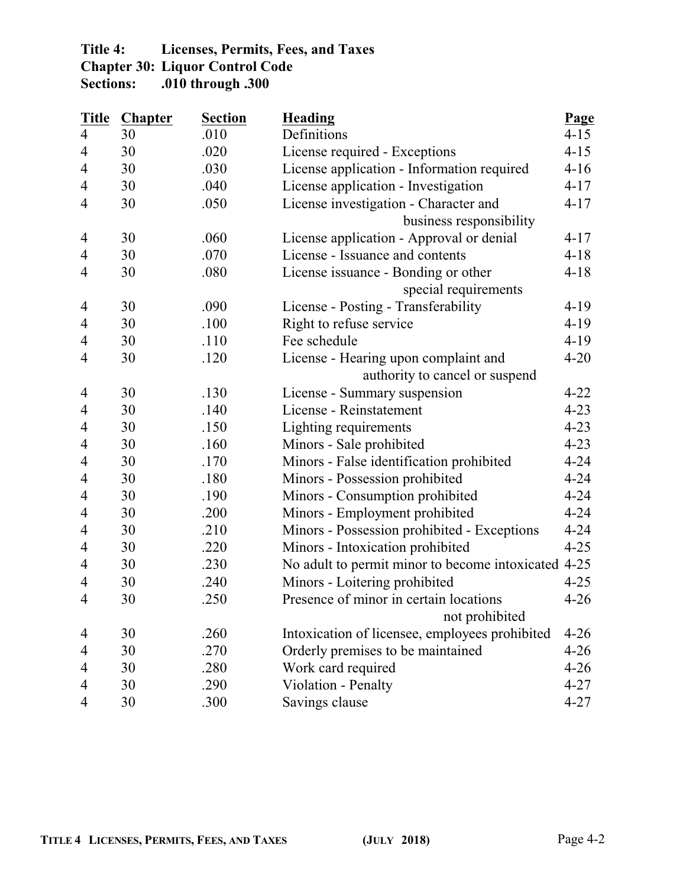# **Title 4: Licenses, Permits, Fees, and Taxes**

**Chapter 30: Liquor Control Code** 

**Sections: .010 through .300**

| <b>Title</b>             | <b>Chapter</b> | <b>Section</b> | <b>Heading</b>                                      | Page     |
|--------------------------|----------------|----------------|-----------------------------------------------------|----------|
| $\overline{4}$           | 30             | .010           | Definitions                                         | $4 - 15$ |
| 4                        | 30             | .020           | License required - Exceptions                       | $4 - 15$ |
| 4                        | 30             | .030           | License application - Information required          | $4 - 16$ |
| 4                        | 30             | .040           | License application - Investigation                 | $4 - 17$ |
| 4                        | 30             | .050           | License investigation - Character and               | $4 - 17$ |
|                          |                |                | business responsibility                             |          |
| 4                        | 30             | .060           | License application - Approval or denial            | $4 - 17$ |
| 4                        | 30             | .070           | License - Issuance and contents                     | $4 - 18$ |
| 4                        | 30             | .080           | License issuance - Bonding or other                 | $4 - 18$ |
|                          |                |                | special requirements                                |          |
| 4                        | 30             | .090           | License - Posting - Transferability                 | $4-19$   |
| 4                        | 30             | .100           | Right to refuse service                             | $4 - 19$ |
| 4                        | 30             | .110           | Fee schedule                                        | $4 - 19$ |
| 4                        | 30             | .120           | License - Hearing upon complaint and                | $4 - 20$ |
|                          |                |                | authority to cancel or suspend                      |          |
| 4                        | 30             | .130           | License - Summary suspension                        | $4 - 22$ |
| 4                        | 30             | .140           | License - Reinstatement                             | $4 - 23$ |
| 4                        | 30             | .150           | Lighting requirements                               | $4 - 23$ |
| 4                        | 30             | .160           | Minors - Sale prohibited                            | $4 - 23$ |
| 4                        | 30             | .170           | Minors - False identification prohibited            | $4 - 24$ |
| 4                        | 30             | .180           | Minors - Possession prohibited                      | $4 - 24$ |
| 4                        | 30             | .190           | Minors - Consumption prohibited                     | $4 - 24$ |
| 4                        | 30             | .200           | Minors - Employment prohibited                      | $4 - 24$ |
| 4                        | 30             | .210           | Minors - Possession prohibited - Exceptions         | $4 - 24$ |
| 4                        | 30             | .220           | Minors - Intoxication prohibited                    | $4 - 25$ |
| 4                        | 30             | .230           | No adult to permit minor to become intoxicated 4-25 |          |
| 4                        | 30             | .240           | Minors - Loitering prohibited                       | $4 - 25$ |
| 4                        | 30             | .250           | Presence of minor in certain locations              | $4 - 26$ |
|                          |                |                | not prohibited                                      |          |
| 4                        | 30             | .260           | Intoxication of licensee, employees prohibited      | $4 - 26$ |
| 4                        | 30             | .270           | Orderly premises to be maintained                   | $4 - 26$ |
| 4                        | 30             | .280           | Work card required                                  | $4 - 26$ |
| $\overline{\mathcal{A}}$ | 30             | .290           | Violation - Penalty                                 | $4 - 27$ |
| 4                        | 30             | .300           | Savings clause                                      | $4 - 27$ |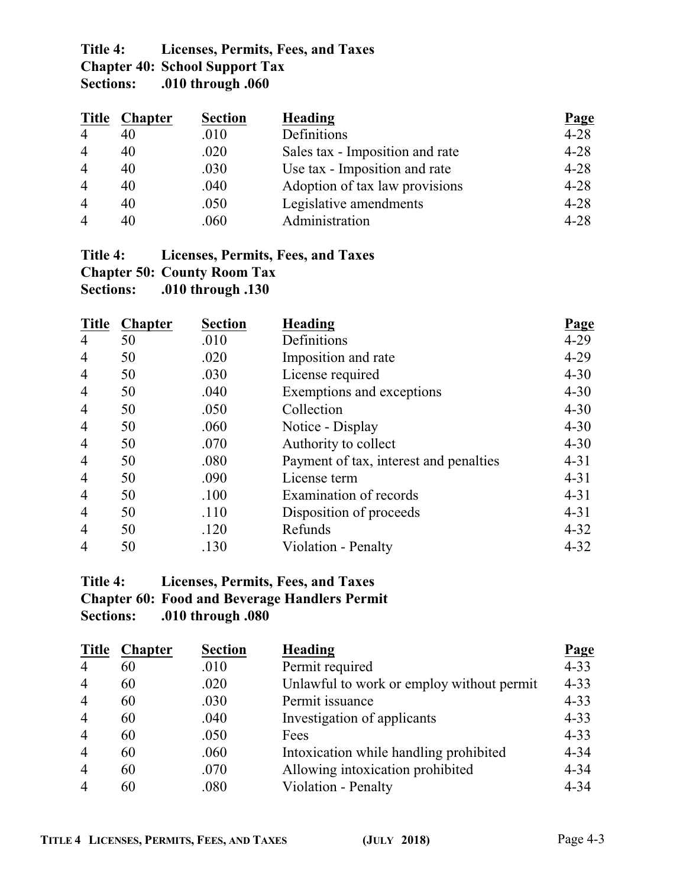# **Title 4: Licenses, Permits, Fees, and Taxes Chapter 40: School Support Tax**

**Sections: .010 through .060**

| Title          | <b>Chapter</b> | <b>Section</b> | <b>Heading</b>                  | <b>Page</b> |
|----------------|----------------|----------------|---------------------------------|-------------|
| $\overline{4}$ | 40             | .010           | Definitions                     | $4 - 28$    |
| $\overline{4}$ | 40             | .020           | Sales tax - Imposition and rate | $4 - 28$    |
| $\overline{4}$ | 40             | .030           | Use tax - Imposition and rate   | $4 - 28$    |
| $\overline{4}$ | 40             | .040           | Adoption of tax law provisions  | $4 - 28$    |
| $\overline{4}$ | 40             | .050           | Legislative amendments          | $4 - 28$    |
| $\overline{4}$ | 40             | .060           | Administration                  | $4 - 28$    |

#### **Title 4: Licenses, Permits, Fees, and Taxes Chapter 50: County Room Tax**

**Sections: .010 through .130**

| <b>Title</b>   | <b>Chapter</b> | <b>Section</b> | Heading                                | <b>Page</b> |
|----------------|----------------|----------------|----------------------------------------|-------------|
| $\overline{4}$ | 50             | .010           | Definitions                            | $4 - 29$    |
| $\overline{4}$ | 50             | .020           | Imposition and rate                    | $4 - 29$    |
| 4              | 50             | .030           | License required                       | $4 - 30$    |
| $\overline{4}$ | 50             | .040           | Exemptions and exceptions              | $4 - 30$    |
| $\overline{4}$ | 50             | .050           | Collection                             | $4 - 30$    |
| $\overline{4}$ | 50             | .060           | Notice - Display                       | $4 - 30$    |
| $\overline{4}$ | 50             | .070           | Authority to collect                   | $4 - 30$    |
| $\overline{4}$ | 50             | .080           | Payment of tax, interest and penalties | $4 - 31$    |
| 4              | 50             | .090           | License term                           | $4 - 31$    |
| 4              | 50             | .100           | Examination of records                 | $4 - 31$    |
| $\overline{4}$ | 50             | .110           | Disposition of proceeds                | $4 - 31$    |
| $\overline{4}$ | 50             | .120           | Refunds                                | $4 - 32$    |
| $\overline{4}$ | 50             | .130           | Violation - Penalty                    | $4 - 32$    |

### **Title 4: Licenses, Permits, Fees, and Taxes Chapter 60: Food and Beverage Handlers Permit Sections: .010 through .080**

| <b>Title</b>   | <b>Chapter</b> | <b>Section</b> | <b>Heading</b>                            | <b>Page</b> |
|----------------|----------------|----------------|-------------------------------------------|-------------|
| $\overline{4}$ | 60             | .010           | Permit required                           | $4 - 33$    |
| $\overline{4}$ | 60             | .020           | Unlawful to work or employ without permit | $4 - 33$    |
| $\overline{4}$ | 60             | .030           | Permit issuance                           | $4 - 33$    |
| $\overline{4}$ | 60             | .040           | Investigation of applicants               | $4 - 33$    |
| $\overline{4}$ | 60             | .050           | Fees                                      | $4 - 33$    |
| $\overline{4}$ | 60             | .060           | Intoxication while handling prohibited    | $4 - 34$    |
| $\overline{4}$ | 60             | .070           | Allowing intoxication prohibited          | $4 - 34$    |
| $\overline{4}$ | 60             | .080           | Violation - Penalty                       | $4 - 34$    |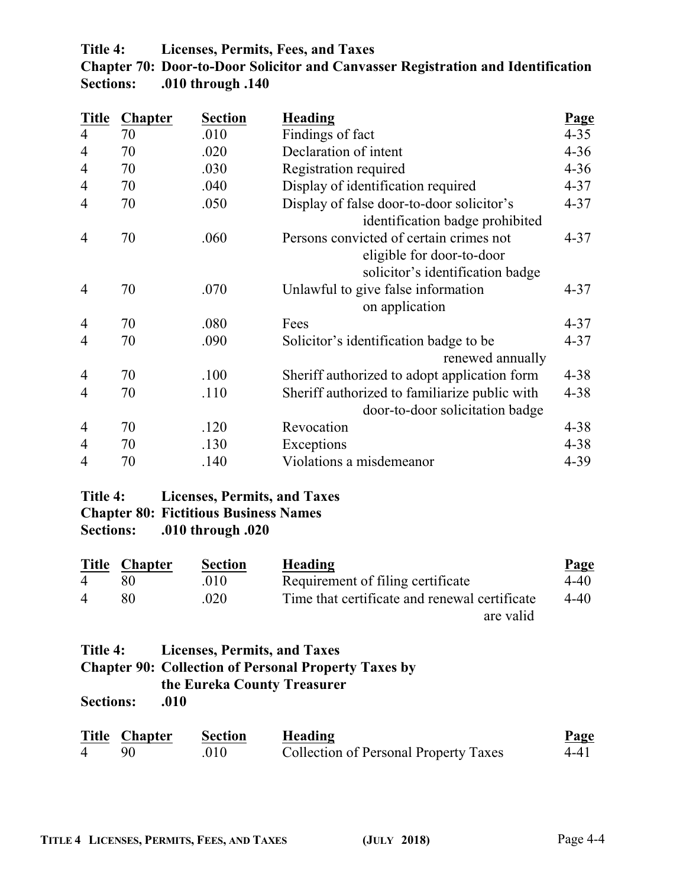### **Title 4: Licenses, Permits, Fees, and Taxes**

|                  | Chapter 70: Door-to-Door Solicitor and Canvasser Registration and Identification |
|------------------|----------------------------------------------------------------------------------|
| <b>Sections:</b> | .010 through .140                                                                |

| <b>Title</b>   | <b>Chapter</b> | <b>Section</b> | <b>Heading</b>                                | Page     |
|----------------|----------------|----------------|-----------------------------------------------|----------|
| $\overline{4}$ | 70             | .010           | Findings of fact                              | $4 - 35$ |
| $\overline{4}$ | 70             | .020           | Declaration of intent                         | $4 - 36$ |
| 4              | 70             | .030           | Registration required                         | $4 - 36$ |
| 4              | 70             | .040           | Display of identification required            | $4 - 37$ |
| $\overline{4}$ | 70             | .050           | Display of false door-to-door solicitor's     | $4 - 37$ |
|                |                |                | identification badge prohibited               |          |
| $\overline{4}$ | 70             | .060           | Persons convicted of certain crimes not       | $4 - 37$ |
|                |                |                | eligible for door-to-door                     |          |
|                |                |                | solicitor's identification badge              |          |
| $\overline{4}$ | 70             | .070           | Unlawful to give false information            | $4 - 37$ |
|                |                |                | on application                                |          |
| 4              | 70             | .080           | Fees                                          | $4 - 37$ |
| 4              | 70             | .090           | Solicitor's identification badge to be        | $4 - 37$ |
|                |                |                | renewed annually                              |          |
| $\overline{4}$ | 70             | .100           | Sheriff authorized to adopt application form  | $4 - 38$ |
| $\overline{4}$ | 70             | .110           | Sheriff authorized to familiarize public with | $4 - 38$ |
|                |                |                | door-to-door solicitation badge               |          |
| 4              | 70             | .120           | Revocation                                    | $4 - 38$ |
| 4              | 70             | .130           | Exceptions                                    | $4 - 38$ |
| 4              | 70             | .140           | Violations a misdemeanor                      | $4 - 39$ |

### **Title 4: Licenses, Permits, and Taxes Chapter 80: Fictitious Business Names Sections: .010 through .020**

|                | Title Chapter | <b>Section</b> | Heading                                       | <b>Page</b> |
|----------------|---------------|----------------|-----------------------------------------------|-------------|
| $\overline{4}$ |               | .010           | Requirement of filing certificate             | 4-40        |
| $\overline{4}$ | 80            | .020           | Time that certificate and renewal certificate | 4-40        |
|                |               |                | are valid                                     |             |

| Title 4: Licenses, Permits, and Taxes                       |
|-------------------------------------------------------------|
| <b>Chapter 90: Collection of Personal Property Taxes by</b> |
| the Eureka County Treasurer                                 |
|                                                             |

**Sections: .010**

|                | Title Chapter | Section | Heading                                      | <b>Page</b> |
|----------------|---------------|---------|----------------------------------------------|-------------|
| $\overline{4}$ |               | 010     | <b>Collection of Personal Property Taxes</b> | 4-41        |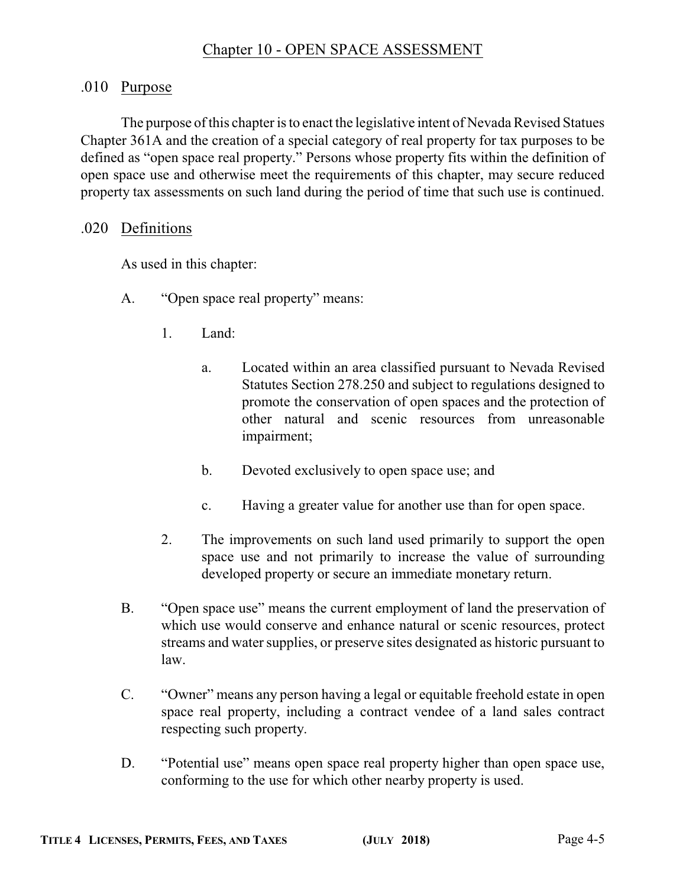### .010 Purpose

The purpose of this chapter is to enact the legislative intent of Nevada Revised Statues Chapter 361A and the creation of a special category of real property for tax purposes to be defined as "open space real property." Persons whose property fits within the definition of open space use and otherwise meet the requirements of this chapter, may secure reduced property tax assessments on such land during the period of time that such use is continued.

### .020 Definitions

As used in this chapter:

- A. "Open space real property" means:
	- 1. Land:
		- a. Located within an area classified pursuant to Nevada Revised Statutes Section 278.250 and subject to regulations designed to promote the conservation of open spaces and the protection of other natural and scenic resources from unreasonable impairment;
		- b. Devoted exclusively to open space use; and
		- c. Having a greater value for another use than for open space.
	- 2. The improvements on such land used primarily to support the open space use and not primarily to increase the value of surrounding developed property or secure an immediate monetary return.
- B. "Open space use" means the current employment of land the preservation of which use would conserve and enhance natural or scenic resources, protect streams and water supplies, or preserve sites designated as historic pursuant to law.
- C. "Owner" means any person having a legal or equitable freehold estate in open space real property, including a contract vendee of a land sales contract respecting such property.
- D. "Potential use" means open space real property higher than open space use, conforming to the use for which other nearby property is used.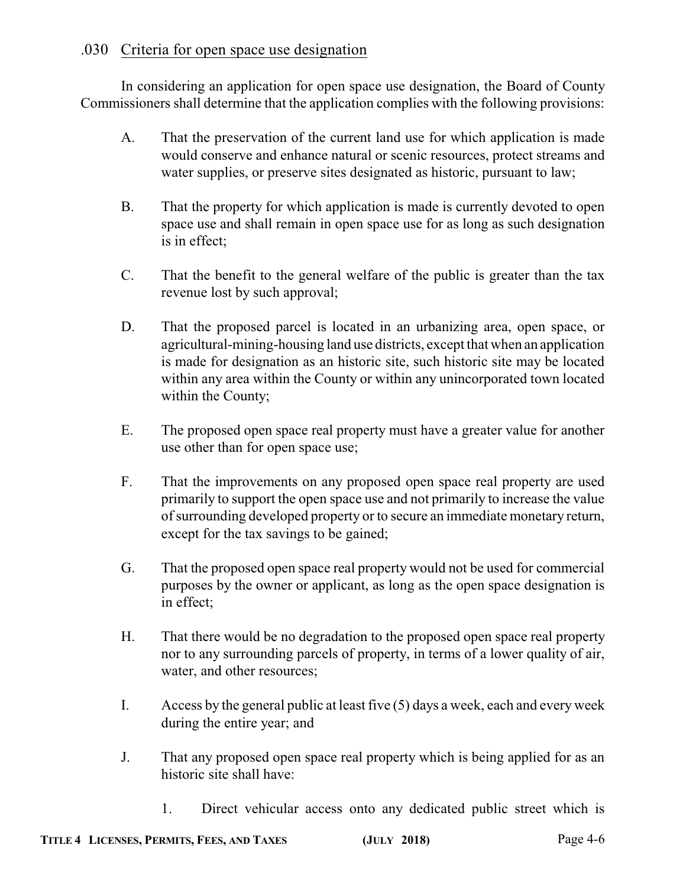### .030 Criteria for open space use designation

In considering an application for open space use designation, the Board of County Commissioners shall determine that the application complies with the following provisions:

- A. That the preservation of the current land use for which application is made would conserve and enhance natural or scenic resources, protect streams and water supplies, or preserve sites designated as historic, pursuant to law;
- B. That the property for which application is made is currently devoted to open space use and shall remain in open space use for as long as such designation is in effect;
- C. That the benefit to the general welfare of the public is greater than the tax revenue lost by such approval;
- D. That the proposed parcel is located in an urbanizing area, open space, or agricultural-mining-housing land use districts, except that when an application is made for designation as an historic site, such historic site may be located within any area within the County or within any unincorporated town located within the County;
- E. The proposed open space real property must have a greater value for another use other than for open space use;
- F. That the improvements on any proposed open space real property are used primarily to support the open space use and not primarily to increase the value ofsurrounding developed property or to secure an immediate monetary return, except for the tax savings to be gained;
- G. That the proposed open space real property would not be used for commercial purposes by the owner or applicant, as long as the open space designation is in effect;
- H. That there would be no degradation to the proposed open space real property nor to any surrounding parcels of property, in terms of a lower quality of air, water, and other resources;
- I. Access by the general public at least five (5) days a week, each and every week during the entire year; and
- J. That any proposed open space real property which is being applied for as an historic site shall have:
	- 1. Direct vehicular access onto any dedicated public street which is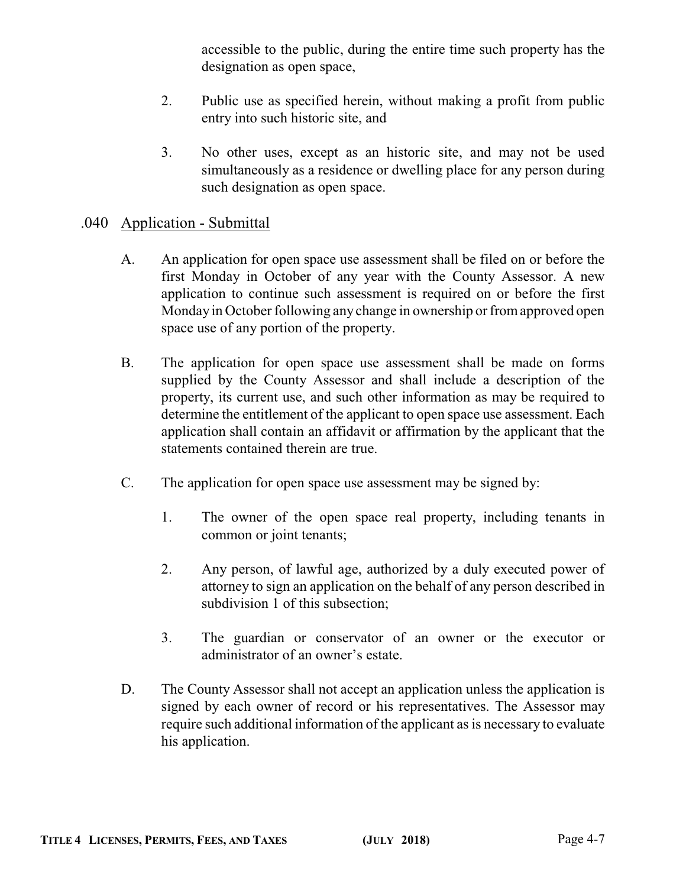accessible to the public, during the entire time such property has the designation as open space,

- 2. Public use as specified herein, without making a profit from public entry into such historic site, and
- 3. No other uses, except as an historic site, and may not be used simultaneously as a residence or dwelling place for any person during such designation as open space.

### .040 Application - Submittal

- A. An application for open space use assessment shall be filed on or before the first Monday in October of any year with the County Assessor. A new application to continue such assessment is required on or before the first Monday in October following any change in ownership or fromapproved open space use of any portion of the property.
- B. The application for open space use assessment shall be made on forms supplied by the County Assessor and shall include a description of the property, its current use, and such other information as may be required to determine the entitlement of the applicant to open space use assessment. Each application shall contain an affidavit or affirmation by the applicant that the statements contained therein are true.
- C. The application for open space use assessment may be signed by:
	- 1. The owner of the open space real property, including tenants in common or joint tenants;
	- 2. Any person, of lawful age, authorized by a duly executed power of attorney to sign an application on the behalf of any person described in subdivision 1 of this subsection;
	- 3. The guardian or conservator of an owner or the executor or administrator of an owner's estate.
- D. The County Assessor shall not accept an application unless the application is signed by each owner of record or his representatives. The Assessor may require such additional information of the applicant as is necessary to evaluate his application.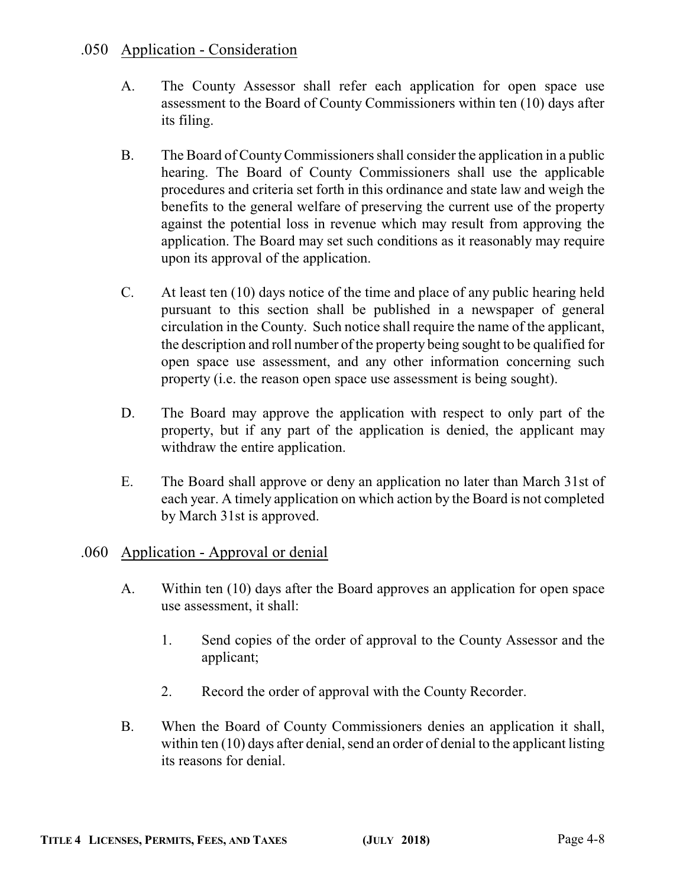### .050 Application - Consideration

- A. The County Assessor shall refer each application for open space use assessment to the Board of County Commissioners within ten (10) days after its filing.
- B. The Board of CountyCommissioners shall consider the application in a public hearing. The Board of County Commissioners shall use the applicable procedures and criteria set forth in this ordinance and state law and weigh the benefits to the general welfare of preserving the current use of the property against the potential loss in revenue which may result from approving the application. The Board may set such conditions as it reasonably may require upon its approval of the application.
- C. At least ten (10) days notice of the time and place of any public hearing held pursuant to this section shall be published in a newspaper of general circulation in the County. Such notice shall require the name of the applicant, the description and roll number of the property being sought to be qualified for open space use assessment, and any other information concerning such property (i.e. the reason open space use assessment is being sought).
- D. The Board may approve the application with respect to only part of the property, but if any part of the application is denied, the applicant may withdraw the entire application.
- E. The Board shall approve or deny an application no later than March 31st of each year. A timely application on which action by the Board is not completed by March 31st is approved.

### .060 Application - Approval or denial

- A. Within ten (10) days after the Board approves an application for open space use assessment, it shall:
	- 1. Send copies of the order of approval to the County Assessor and the applicant;
	- 2. Record the order of approval with the County Recorder.
- B. When the Board of County Commissioners denies an application it shall, within ten (10) days after denial, send an order of denial to the applicant listing its reasons for denial.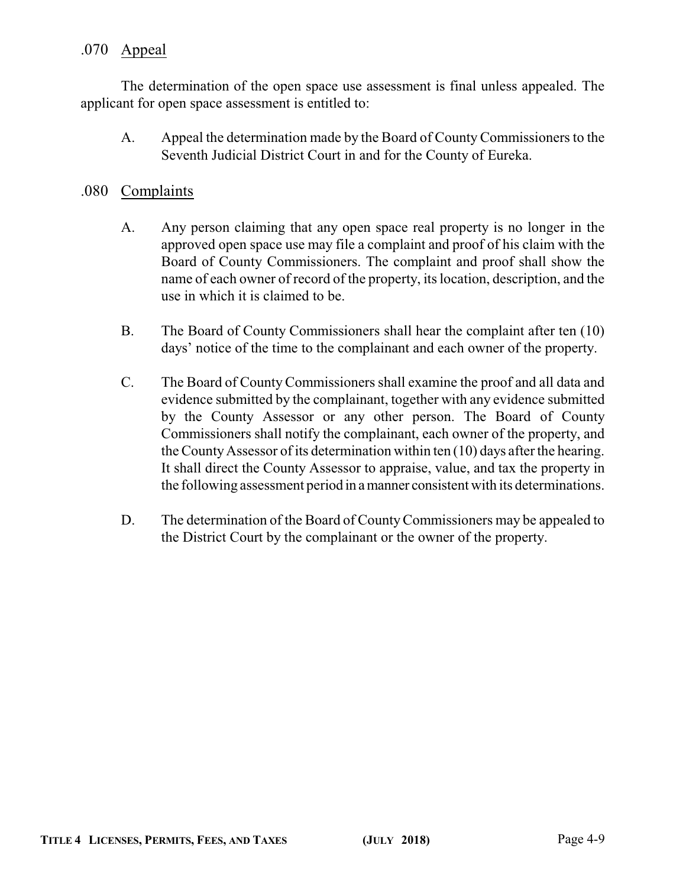### .070 Appeal

The determination of the open space use assessment is final unless appealed. The applicant for open space assessment is entitled to:

A. Appeal the determination made by the Board of CountyCommissioners to the Seventh Judicial District Court in and for the County of Eureka.

#### .080 Complaints

- A. Any person claiming that any open space real property is no longer in the approved open space use may file a complaint and proof of his claim with the Board of County Commissioners. The complaint and proof shall show the name of each owner of record of the property, its location, description, and the use in which it is claimed to be.
- B. The Board of County Commissioners shall hear the complaint after ten (10) days' notice of the time to the complainant and each owner of the property.
- C. The Board of CountyCommissioners shall examine the proof and all data and evidence submitted by the complainant, together with any evidence submitted by the County Assessor or any other person. The Board of County Commissioners shall notify the complainant, each owner of the property, and the CountyAssessor of its determination within ten (10) days after the hearing. It shall direct the County Assessor to appraise, value, and tax the property in the following assessment period in amanner consistent with its determinations.
- D. The determination of the Board of County Commissioners may be appealed to the District Court by the complainant or the owner of the property.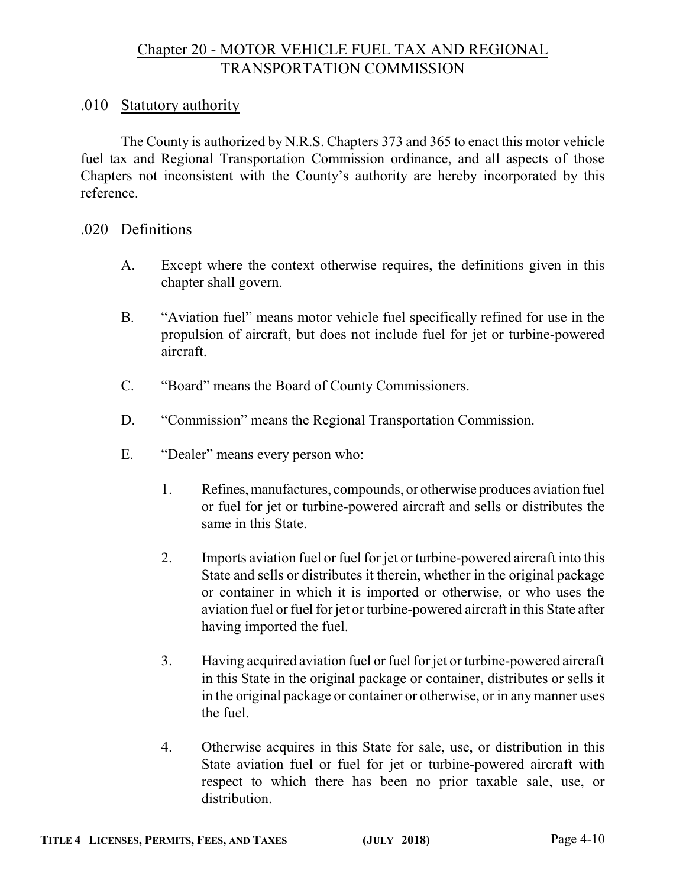### Chapter 20 - MOTOR VEHICLE FUEL TAX AND REGIONAL TRANSPORTATION COMMISSION

#### .010 Statutory authority

The County is authorized by N.R.S. Chapters 373 and 365 to enact this motor vehicle fuel tax and Regional Transportation Commission ordinance, and all aspects of those Chapters not inconsistent with the County's authority are hereby incorporated by this reference.

#### .020 Definitions

- A. Except where the context otherwise requires, the definitions given in this chapter shall govern.
- B. "Aviation fuel" means motor vehicle fuel specifically refined for use in the propulsion of aircraft, but does not include fuel for jet or turbine-powered aircraft.
- C. "Board" means the Board of County Commissioners.
- D. "Commission" means the Regional Transportation Commission.
- E. "Dealer" means every person who:
	- 1. Refines,manufactures, compounds, or otherwise produces aviation fuel or fuel for jet or turbine-powered aircraft and sells or distributes the same in this State.
	- 2. Imports aviation fuel or fuel for jet or turbine-powered aircraft into this State and sells or distributes it therein, whether in the original package or container in which it is imported or otherwise, or who uses the aviation fuel or fuel for jet or turbine-powered aircraft in this State after having imported the fuel.
	- 3. Having acquired aviation fuel or fuel for jet or turbine-powered aircraft in this State in the original package or container, distributes or sells it in the original package or container or otherwise, or in anymanner uses the fuel.
	- 4. Otherwise acquires in this State for sale, use, or distribution in this State aviation fuel or fuel for jet or turbine-powered aircraft with respect to which there has been no prior taxable sale, use, or distribution.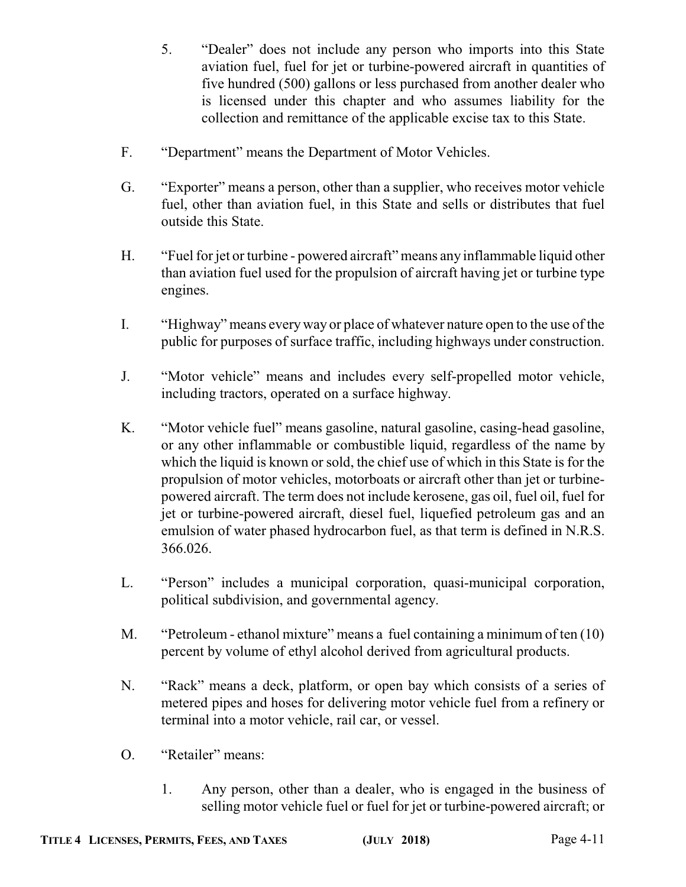5. "Dealer" does not include any person who imports into this State aviation fuel, fuel for jet or turbine-powered aircraft in quantities of five hundred (500) gallons or less purchased from another dealer who is licensed under this chapter and who assumes liability for the collection and remittance of the applicable excise tax to this State.

- F. "Department" means the Department of Motor Vehicles.
- G. "Exporter" means a person, other than a supplier, who receives motor vehicle fuel, other than aviation fuel, in this State and sells or distributes that fuel outside this State.
- H. "Fuel for jet or turbine powered aircraft" means any inflammable liquid other than aviation fuel used for the propulsion of aircraft having jet or turbine type engines.
- I. "Highway" means everyway or place of whatever nature open to the use of the public for purposes of surface traffic, including highways under construction.
- J. "Motor vehicle" means and includes every self-propelled motor vehicle, including tractors, operated on a surface highway.
- K. "Motor vehicle fuel" means gasoline, natural gasoline, casing-head gasoline, or any other inflammable or combustible liquid, regardless of the name by which the liquid is known or sold, the chief use of which in this State is for the propulsion of motor vehicles, motorboats or aircraft other than jet or turbinepowered aircraft. The term does not include kerosene, gas oil, fuel oil, fuel for jet or turbine-powered aircraft, diesel fuel, liquefied petroleum gas and an emulsion of water phased hydrocarbon fuel, as that term is defined in N.R.S. 366.026.
- L. "Person" includes a municipal corporation, quasi-municipal corporation, political subdivision, and governmental agency.
- M. "Petroleum ethanol mixture" means a fuel containing a minimum of ten (10) percent by volume of ethyl alcohol derived from agricultural products.
- N. "Rack" means a deck, platform, or open bay which consists of a series of metered pipes and hoses for delivering motor vehicle fuel from a refinery or terminal into a motor vehicle, rail car, or vessel.
- O. "Retailer" means:
	- 1. Any person, other than a dealer, who is engaged in the business of selling motor vehicle fuel or fuel for jet or turbine-powered aircraft; or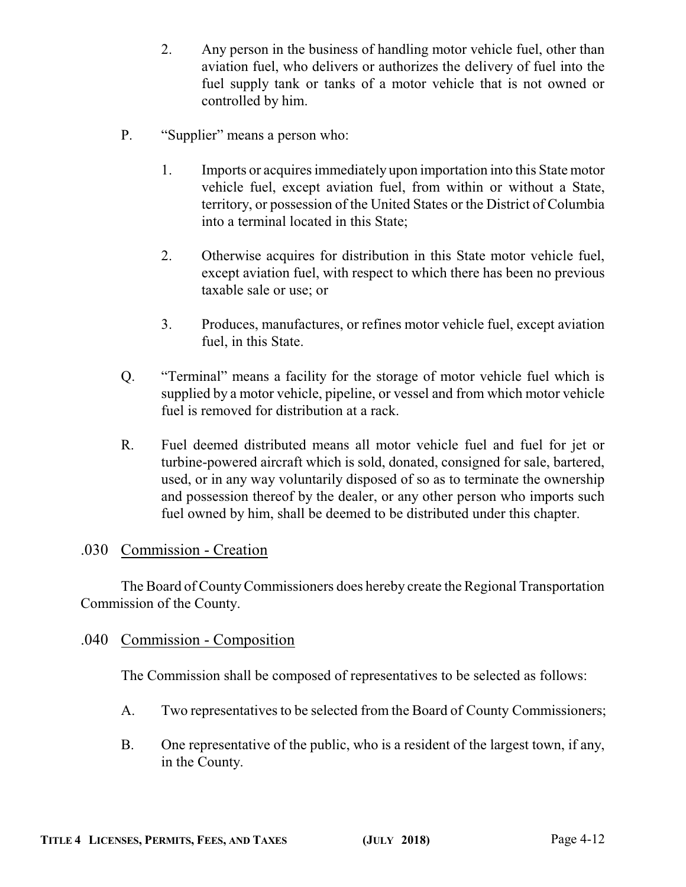- 2. Any person in the business of handling motor vehicle fuel, other than aviation fuel, who delivers or authorizes the delivery of fuel into the fuel supply tank or tanks of a motor vehicle that is not owned or controlled by him.
- P. "Supplier" means a person who:
	- 1. Imports or acquires immediately upon importation into this State motor vehicle fuel, except aviation fuel, from within or without a State, territory, or possession of the United States or the District of Columbia into a terminal located in this State;
	- 2. Otherwise acquires for distribution in this State motor vehicle fuel, except aviation fuel, with respect to which there has been no previous taxable sale or use; or
	- 3. Produces, manufactures, or refines motor vehicle fuel, except aviation fuel, in this State.
- Q. "Terminal" means a facility for the storage of motor vehicle fuel which is supplied by a motor vehicle, pipeline, or vessel and from which motor vehicle fuel is removed for distribution at a rack.
- R. Fuel deemed distributed means all motor vehicle fuel and fuel for jet or turbine-powered aircraft which is sold, donated, consigned for sale, bartered, used, or in any way voluntarily disposed of so as to terminate the ownership and possession thereof by the dealer, or any other person who imports such fuel owned by him, shall be deemed to be distributed under this chapter.

### .030 Commission - Creation

The Board of CountyCommissioners does hereby create the Regional Transportation Commission of the County.

### .040 Commission - Composition

The Commission shall be composed of representatives to be selected as follows:

- A. Two representatives to be selected from the Board of County Commissioners;
- B. One representative of the public, who is a resident of the largest town, if any, in the County.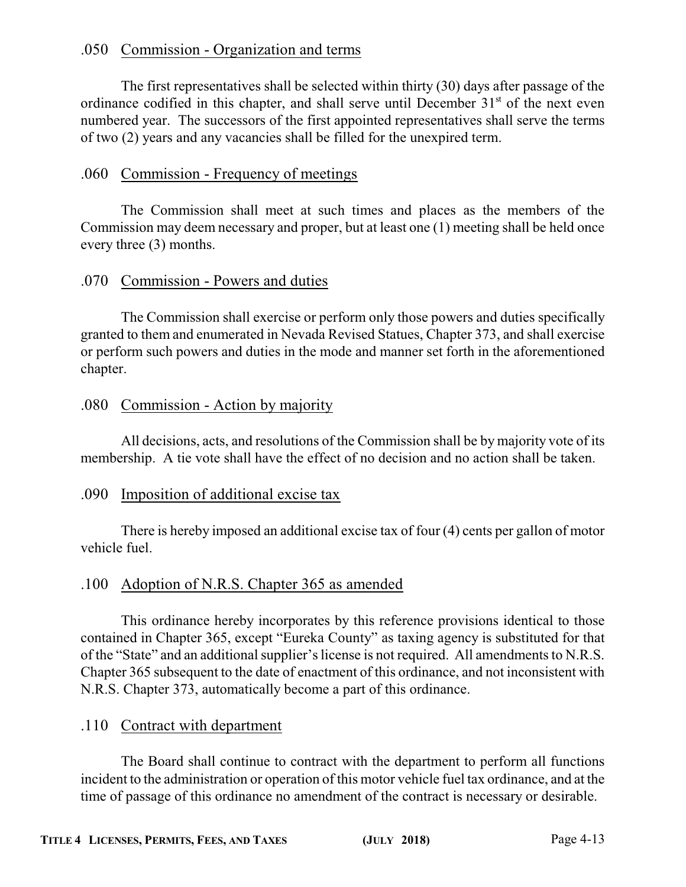### .050 Commission - Organization and terms

The first representatives shall be selected within thirty (30) days after passage of the ordinance codified in this chapter, and shall serve until December 31<sup>st</sup> of the next even numbered year. The successors of the first appointed representatives shall serve the terms of two (2) years and any vacancies shall be filled for the unexpired term.

### .060 Commission - Frequency of meetings

The Commission shall meet at such times and places as the members of the Commission may deem necessary and proper, but at least one (1) meeting shall be held once every three (3) months.

### .070 Commission - Powers and duties

The Commission shall exercise or perform only those powers and duties specifically granted to them and enumerated in Nevada Revised Statues, Chapter 373, and shall exercise or perform such powers and duties in the mode and manner set forth in the aforementioned chapter.

### .080 Commission - Action by majority

All decisions, acts, and resolutions of the Commission shall be by majority vote of its membership. A tie vote shall have the effect of no decision and no action shall be taken.

### .090 Imposition of additional excise tax

There is hereby imposed an additional excise tax of four (4) cents per gallon of motor vehicle fuel.

### .100 Adoption of N.R.S. Chapter 365 as amended

This ordinance hereby incorporates by this reference provisions identical to those contained in Chapter 365, except "Eureka County" as taxing agency is substituted for that of the "State" and an additional supplier's license is not required. All amendments to N.R.S. Chapter 365 subsequent to the date of enactment of this ordinance, and not inconsistent with N.R.S. Chapter 373, automatically become a part of this ordinance.

### .110 Contract with department

The Board shall continue to contract with the department to perform all functions incident to the administration or operation of this motor vehicle fuel tax ordinance, and at the time of passage of this ordinance no amendment of the contract is necessary or desirable.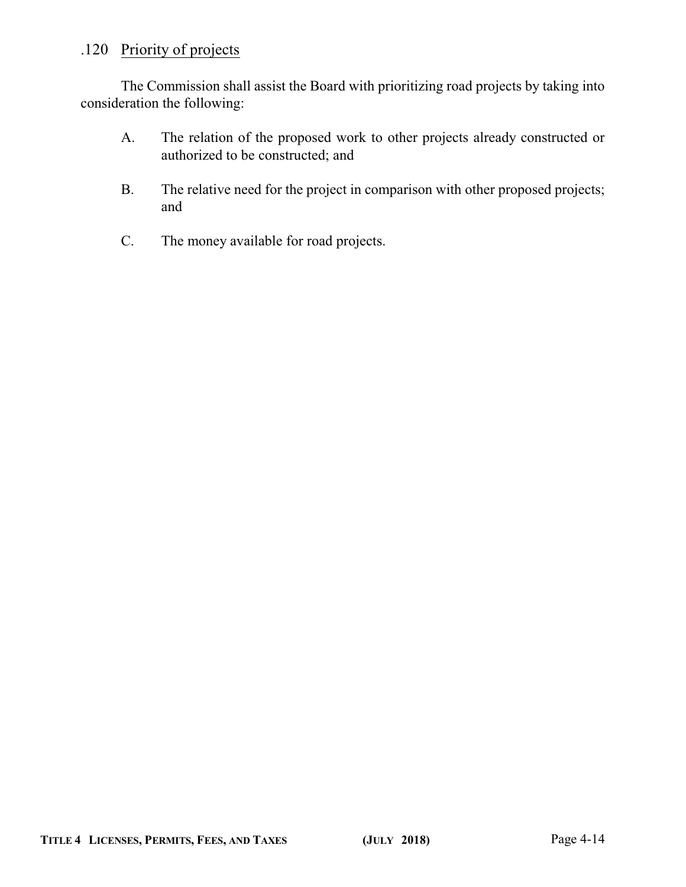### .120 Priority of projects

The Commission shall assist the Board with prioritizing road projects by taking into consideration the following:

- A. The relation of the proposed work to other projects already constructed or authorized to be constructed; and
- B. The relative need for the project in comparison with other proposed projects; and
- C. The money available for road projects.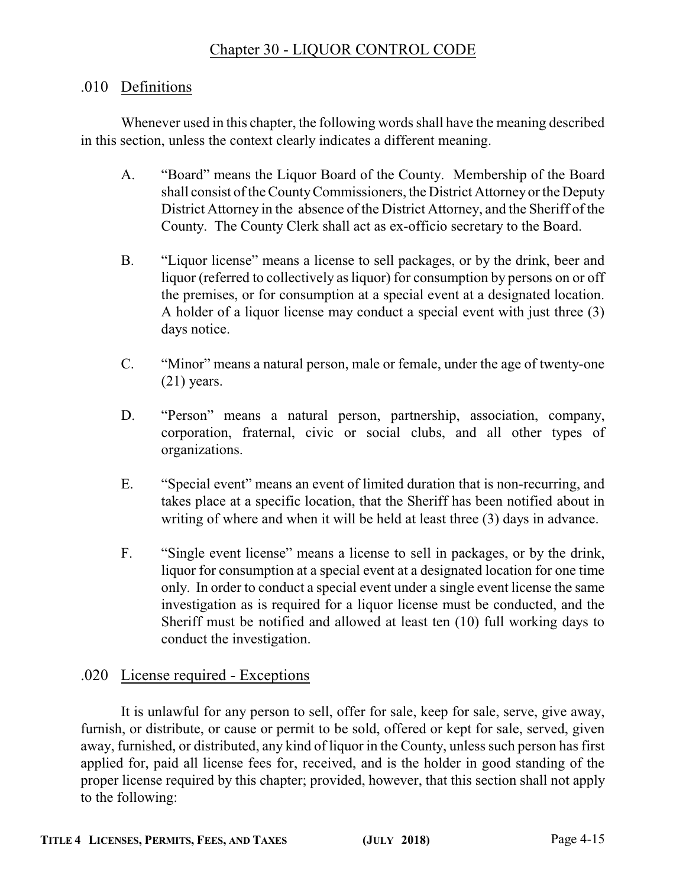### Chapter 30 - LIQUOR CONTROL CODE

#### .010 Definitions

Whenever used in this chapter, the following words shall have the meaning described in this section, unless the context clearly indicates a different meaning.

- A. "Board" means the Liquor Board of the County. Membership of the Board shall consist of the CountyCommissioners, the District Attorney or the Deputy District Attorney in the absence of the District Attorney, and the Sheriff of the County. The County Clerk shall act as ex-officio secretary to the Board.
- B. "Liquor license" means a license to sell packages, or by the drink, beer and liquor (referred to collectively as liquor) for consumption by persons on or off the premises, or for consumption at a special event at a designated location. A holder of a liquor license may conduct a special event with just three (3) days notice.
- C. "Minor" means a natural person, male or female, under the age of twenty-one (21) years.
- D. "Person" means a natural person, partnership, association, company, corporation, fraternal, civic or social clubs, and all other types of organizations.
- E. "Special event" means an event of limited duration that is non-recurring, and takes place at a specific location, that the Sheriff has been notified about in writing of where and when it will be held at least three (3) days in advance.
- F. "Single event license" means a license to sell in packages, or by the drink, liquor for consumption at a special event at a designated location for one time only. In order to conduct a special event under a single event license the same investigation as is required for a liquor license must be conducted, and the Sheriff must be notified and allowed at least ten (10) full working days to conduct the investigation.

### .020 License required - Exceptions

It is unlawful for any person to sell, offer for sale, keep for sale, serve, give away, furnish, or distribute, or cause or permit to be sold, offered or kept for sale, served, given away, furnished, or distributed, any kind of liquor in the County, unless such person has first applied for, paid all license fees for, received, and is the holder in good standing of the proper license required by this chapter; provided, however, that this section shall not apply to the following: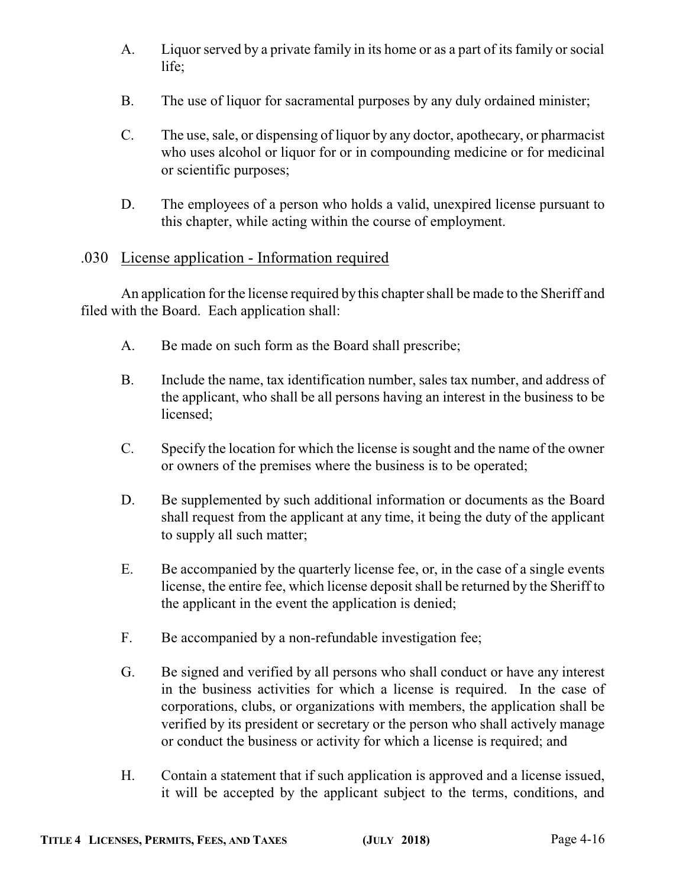- A. Liquor served by a private family in its home or as a part of its family or social life;
- B. The use of liquor for sacramental purposes by any duly ordained minister;
- C. The use, sale, or dispensing of liquor by any doctor, apothecary, or pharmacist who uses alcohol or liquor for or in compounding medicine or for medicinal or scientific purposes;
- D. The employees of a person who holds a valid, unexpired license pursuant to this chapter, while acting within the course of employment.

### .030 License application - Information required

An application for the license required by this chapter shall be made to the Sheriff and filed with the Board. Each application shall:

- A. Be made on such form as the Board shall prescribe;
- B. Include the name, tax identification number, sales tax number, and address of the applicant, who shall be all persons having an interest in the business to be licensed;
- C. Specify the location for which the license is sought and the name of the owner or owners of the premises where the business is to be operated;
- D. Be supplemented by such additional information or documents as the Board shall request from the applicant at any time, it being the duty of the applicant to supply all such matter;
- E. Be accompanied by the quarterly license fee, or, in the case of a single events license, the entire fee, which license deposit shall be returned by the Sheriff to the applicant in the event the application is denied;
- F. Be accompanied by a non-refundable investigation fee;
- G. Be signed and verified by all persons who shall conduct or have any interest in the business activities for which a license is required. In the case of corporations, clubs, or organizations with members, the application shall be verified by its president or secretary or the person who shall actively manage or conduct the business or activity for which a license is required; and
- H. Contain a statement that if such application is approved and a license issued, it will be accepted by the applicant subject to the terms, conditions, and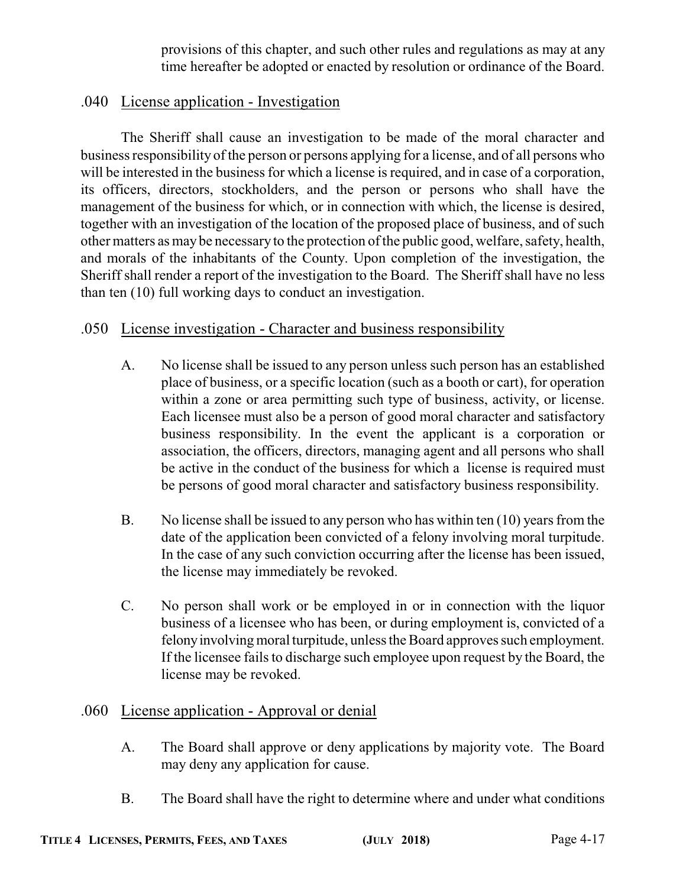provisions of this chapter, and such other rules and regulations as may at any time hereafter be adopted or enacted by resolution or ordinance of the Board.

### .040 License application - Investigation

The Sheriff shall cause an investigation to be made of the moral character and business responsibility of the person or persons applying for a license, and of all persons who will be interested in the business for which a license is required, and in case of a corporation, its officers, directors, stockholders, and the person or persons who shall have the management of the business for which, or in connection with which, the license is desired, together with an investigation of the location of the proposed place of business, and of such other matters as may be necessary to the protection ofthe public good, welfare, safety, health, and morals of the inhabitants of the County. Upon completion of the investigation, the Sheriff shall render a report of the investigation to the Board. The Sheriff shall have no less than ten (10) full working days to conduct an investigation.

### .050 License investigation - Character and business responsibility

- A. No license shall be issued to any person unless such person has an established place of business, or a specific location (such as a booth or cart), for operation within a zone or area permitting such type of business, activity, or license. Each licensee must also be a person of good moral character and satisfactory business responsibility. In the event the applicant is a corporation or association, the officers, directors, managing agent and all persons who shall be active in the conduct of the business for which a license is required must be persons of good moral character and satisfactory business responsibility.
- B. No license shall be issued to any person who has within ten (10) years from the date of the application been convicted of a felony involving moral turpitude. In the case of any such conviction occurring after the license has been issued, the license may immediately be revoked.
- C. No person shall work or be employed in or in connection with the liquor business of a licensee who has been, or during employment is, convicted of a felonyinvolving moral turpitude, unless the Board approves such employment. If the licensee fails to discharge such employee upon request by the Board, the license may be revoked.

### .060 License application - Approval or denial

- A. The Board shall approve or deny applications by majority vote. The Board may deny any application for cause.
- B. The Board shall have the right to determine where and under what conditions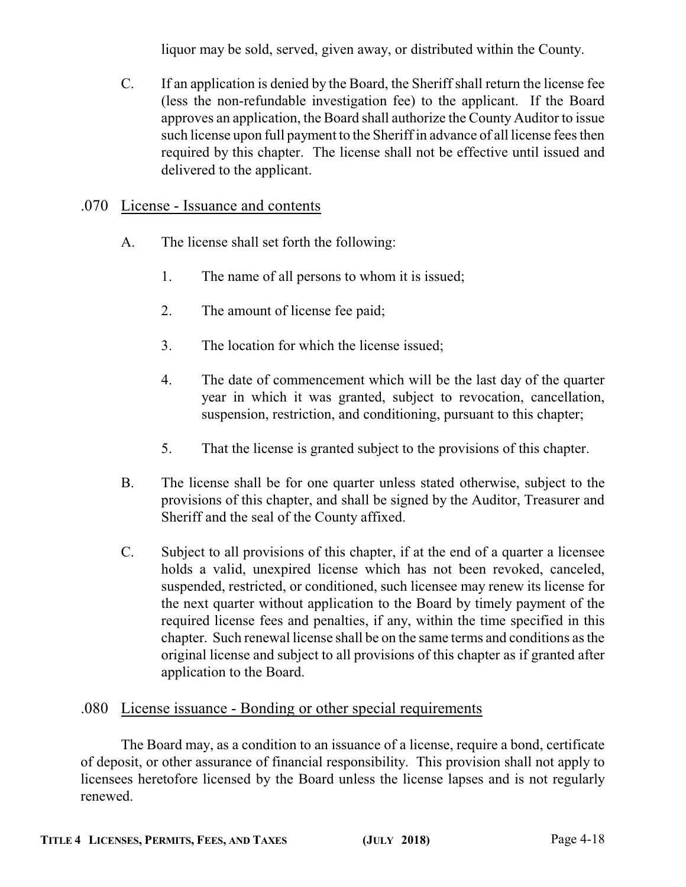liquor may be sold, served, given away, or distributed within the County.

C. If an application is denied by the Board, the Sheriff shall return the license fee (less the non-refundable investigation fee) to the applicant. If the Board approves an application, the Board shall authorize the County Auditor to issue such license upon full payment to the Sheriff in advance of all license fees then required by this chapter. The license shall not be effective until issued and delivered to the applicant.

### .070 License - Issuance and contents

- A. The license shall set forth the following:
	- 1. The name of all persons to whom it is issued;
	- 2. The amount of license fee paid;
	- 3. The location for which the license issued;
	- 4. The date of commencement which will be the last day of the quarter year in which it was granted, subject to revocation, cancellation, suspension, restriction, and conditioning, pursuant to this chapter;
	- 5. That the license is granted subject to the provisions of this chapter.
- B. The license shall be for one quarter unless stated otherwise, subject to the provisions of this chapter, and shall be signed by the Auditor, Treasurer and Sheriff and the seal of the County affixed.
- C. Subject to all provisions of this chapter, if at the end of a quarter a licensee holds a valid, unexpired license which has not been revoked, canceled, suspended, restricted, or conditioned, such licensee may renew its license for the next quarter without application to the Board by timely payment of the required license fees and penalties, if any, within the time specified in this chapter. Such renewal license shall be on the same terms and conditions as the original license and subject to all provisions of this chapter as if granted after application to the Board.

### .080 License issuance - Bonding or other special requirements

The Board may, as a condition to an issuance of a license, require a bond, certificate of deposit, or other assurance of financial responsibility. This provision shall not apply to licensees heretofore licensed by the Board unless the license lapses and is not regularly renewed.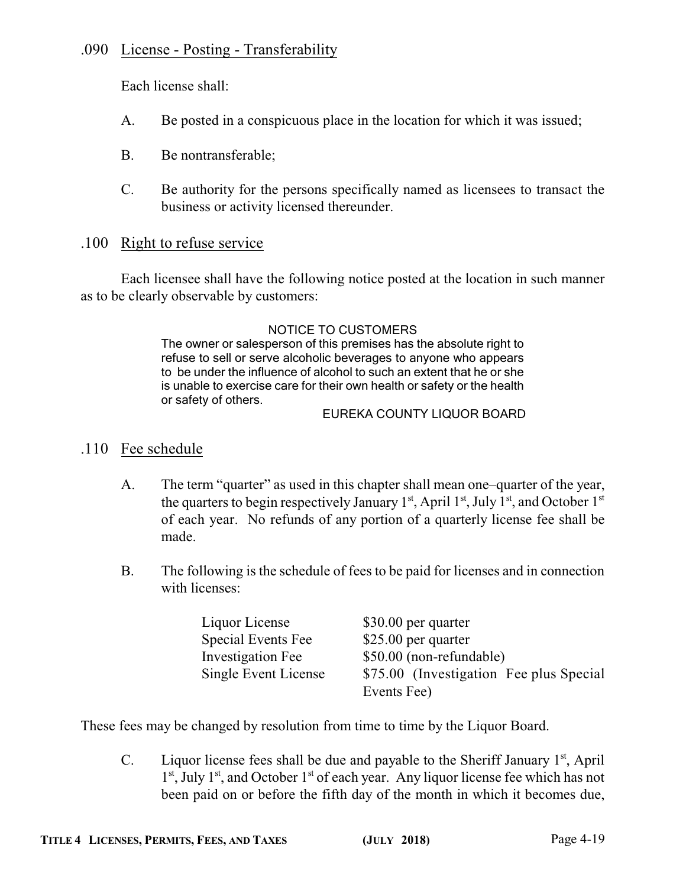### .090 License - Posting - Transferability

Each license shall:

- A. Be posted in a conspicuous place in the location for which it was issued;
- B. Be nontransferable;
- C. Be authority for the persons specifically named as licensees to transact the business or activity licensed thereunder.

### .100 Right to refuse service

Each licensee shall have the following notice posted at the location in such manner as to be clearly observable by customers:

#### NOTICE TO CUSTOMERS

The owner or salesperson of this premises has the absolute right to refuse to sell or serve alcoholic beverages to anyone who appears to be under the influence of alcohol to such an extent that he or she is unable to exercise care for their own health or safety or the health or safety of others.

#### EUREKA COUNTY LIQUOR BOARD

### .110 Fee schedule

- A. The term "quarter" as used in this chapter shall mean one–quarter of the year, the quarters to begin respectively January 1<sup>st</sup>, April 1<sup>st</sup>, July 1<sup>st</sup>, and October 1<sup>st</sup> of each year. No refunds of any portion of a quarterly license fee shall be made.
- B. The following is the schedule of fees to be paid for licenses and in connection with licenses:

| Liquor License            | \$30.00 per quarter                     |
|---------------------------|-----------------------------------------|
| <b>Special Events Fee</b> | \$25.00 per quarter                     |
| Investigation Fee         | \$50.00 (non-refundable)                |
| Single Event License      | \$75.00 (Investigation Fee plus Special |
|                           | Events Fee)                             |

These fees may be changed by resolution from time to time by the Liquor Board.

C. Liquor license fees shall be due and payable to the Sheriff January  $1<sup>st</sup>$ , April 1<sup>st</sup>, July 1<sup>st</sup>, and October 1<sup>st</sup> of each year. Any liquor license fee which has not been paid on or before the fifth day of the month in which it becomes due,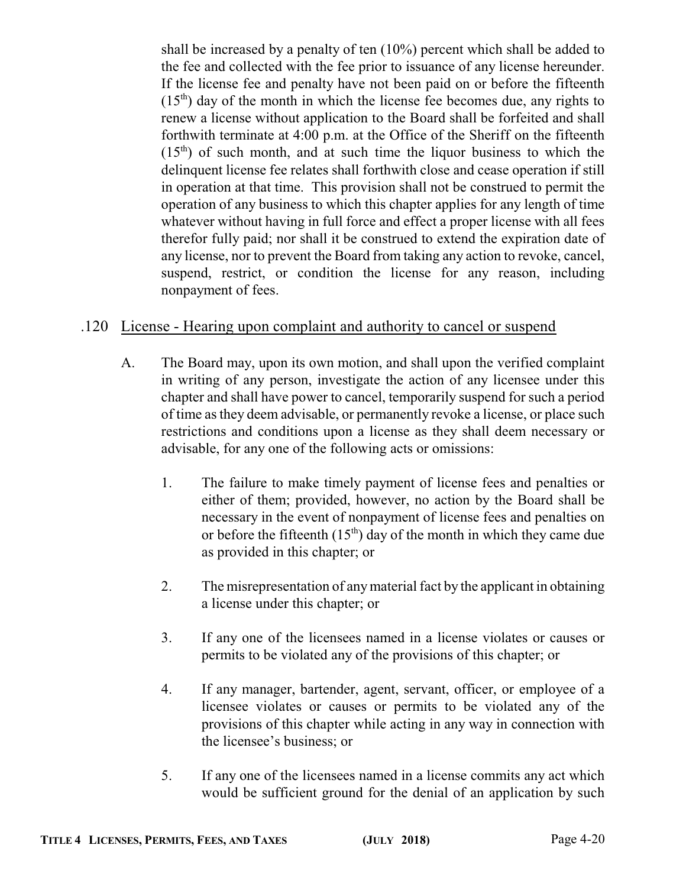shall be increased by a penalty of ten (10%) percent which shall be added to the fee and collected with the fee prior to issuance of any license hereunder. If the license fee and penalty have not been paid on or before the fifteenth  $(15<sup>th</sup>)$  day of the month in which the license fee becomes due, any rights to renew a license without application to the Board shall be forfeited and shall forthwith terminate at 4:00 p.m. at the Office of the Sheriff on the fifteenth  $(15<sup>th</sup>)$  of such month, and at such time the liquor business to which the delinquent license fee relates shall forthwith close and cease operation if still in operation at that time. This provision shall not be construed to permit the operation of any business to which this chapter applies for any length of time whatever without having in full force and effect a proper license with all fees therefor fully paid; nor shall it be construed to extend the expiration date of any license, nor to prevent the Board from taking any action to revoke, cancel, suspend, restrict, or condition the license for any reason, including nonpayment of fees.

### .120 License - Hearing upon complaint and authority to cancel or suspend

- A. The Board may, upon its own motion, and shall upon the verified complaint in writing of any person, investigate the action of any licensee under this chapter and shall have power to cancel, temporarily suspend for such a period of time as they deem advisable, or permanently revoke a license, or place such restrictions and conditions upon a license as they shall deem necessary or advisable, for any one of the following acts or omissions:
	- 1. The failure to make timely payment of license fees and penalties or either of them; provided, however, no action by the Board shall be necessary in the event of nonpayment of license fees and penalties on or before the fifteenth  $(15<sup>th</sup>)$  day of the month in which they came due as provided in this chapter; or
	- 2. The misrepresentation of anymaterial fact by the applicant in obtaining a license under this chapter; or
	- 3. If any one of the licensees named in a license violates or causes or permits to be violated any of the provisions of this chapter; or
	- 4. If any manager, bartender, agent, servant, officer, or employee of a licensee violates or causes or permits to be violated any of the provisions of this chapter while acting in any way in connection with the licensee's business; or
	- 5. If any one of the licensees named in a license commits any act which would be sufficient ground for the denial of an application by such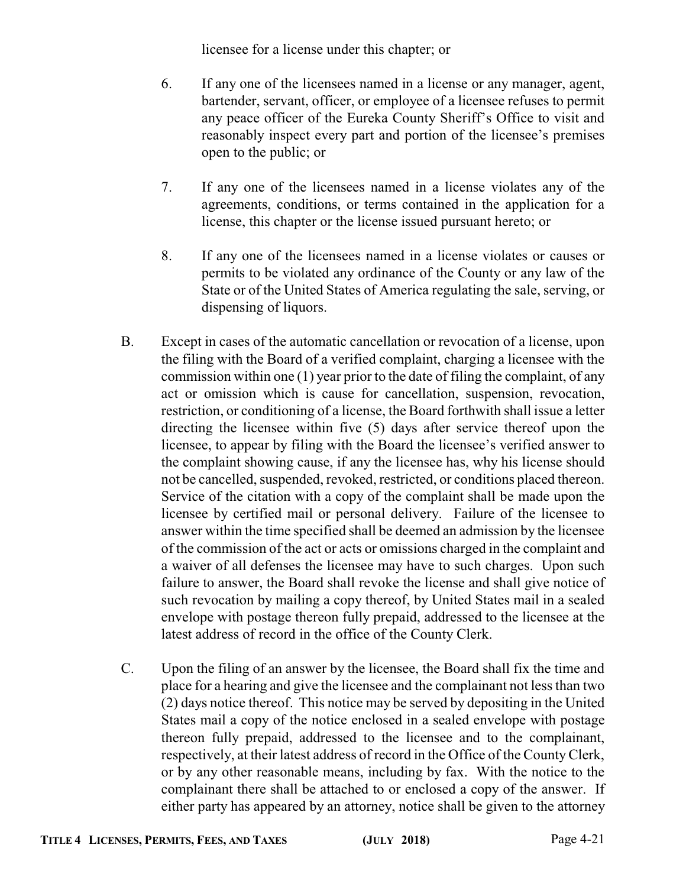licensee for a license under this chapter; or

- 6. If any one of the licensees named in a license or any manager, agent, bartender, servant, officer, or employee of a licensee refuses to permit any peace officer of the Eureka County Sheriff's Office to visit and reasonably inspect every part and portion of the licensee's premises open to the public; or
- 7. If any one of the licensees named in a license violates any of the agreements, conditions, or terms contained in the application for a license, this chapter or the license issued pursuant hereto; or
- 8. If any one of the licensees named in a license violates or causes or permits to be violated any ordinance of the County or any law of the State or of the United States of America regulating the sale, serving, or dispensing of liquors.
- B. Except in cases of the automatic cancellation or revocation of a license, upon the filing with the Board of a verified complaint, charging a licensee with the commission within one (1) year prior to the date of filing the complaint, of any act or omission which is cause for cancellation, suspension, revocation, restriction, or conditioning of a license, the Board forthwith shall issue a letter directing the licensee within five (5) days after service thereof upon the licensee, to appear by filing with the Board the licensee's verified answer to the complaint showing cause, if any the licensee has, why his license should not be cancelled, suspended, revoked, restricted, or conditions placed thereon. Service of the citation with a copy of the complaint shall be made upon the licensee by certified mail or personal delivery. Failure of the licensee to answer within the time specified shall be deemed an admission by the licensee of the commission of the act or acts or omissions charged in the complaint and a waiver of all defenses the licensee may have to such charges. Upon such failure to answer, the Board shall revoke the license and shall give notice of such revocation by mailing a copy thereof, by United States mail in a sealed envelope with postage thereon fully prepaid, addressed to the licensee at the latest address of record in the office of the County Clerk.
- C. Upon the filing of an answer by the licensee, the Board shall fix the time and place for a hearing and give the licensee and the complainant not less than two (2) days notice thereof. This notice may be served by depositing in the United States mail a copy of the notice enclosed in a sealed envelope with postage thereon fully prepaid, addressed to the licensee and to the complainant, respectively, at their latest address of record in the Office of the CountyClerk, or by any other reasonable means, including by fax. With the notice to the complainant there shall be attached to or enclosed a copy of the answer. If either party has appeared by an attorney, notice shall be given to the attorney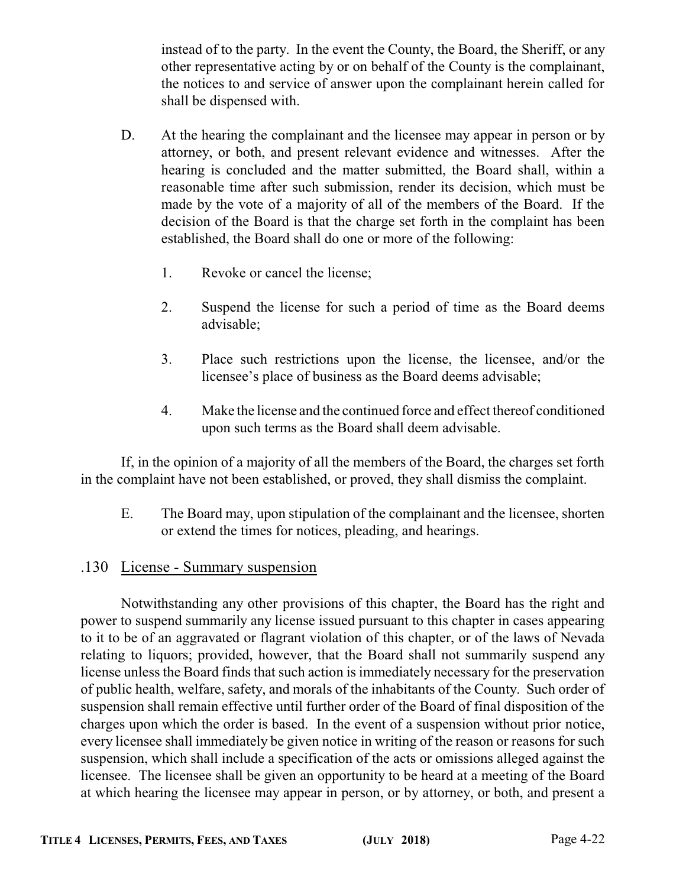instead of to the party. In the event the County, the Board, the Sheriff, or any other representative acting by or on behalf of the County is the complainant, the notices to and service of answer upon the complainant herein called for shall be dispensed with.

- D. At the hearing the complainant and the licensee may appear in person or by attorney, or both, and present relevant evidence and witnesses. After the hearing is concluded and the matter submitted, the Board shall, within a reasonable time after such submission, render its decision, which must be made by the vote of a majority of all of the members of the Board. If the decision of the Board is that the charge set forth in the complaint has been established, the Board shall do one or more of the following:
	- 1. Revoke or cancel the license;
	- 2. Suspend the license for such a period of time as the Board deems advisable;
	- 3. Place such restrictions upon the license, the licensee, and/or the licensee's place of business as the Board deems advisable;
	- 4. Make the license and the continued force and effect thereof conditioned upon such terms as the Board shall deem advisable.

If, in the opinion of a majority of all the members of the Board, the charges set forth in the complaint have not been established, or proved, they shall dismiss the complaint.

E. The Board may, upon stipulation of the complainant and the licensee, shorten or extend the times for notices, pleading, and hearings.

### .130 License - Summary suspension

Notwithstanding any other provisions of this chapter, the Board has the right and power to suspend summarily any license issued pursuant to this chapter in cases appearing to it to be of an aggravated or flagrant violation of this chapter, or of the laws of Nevada relating to liquors; provided, however, that the Board shall not summarily suspend any license unless the Board finds that such action is immediately necessary for the preservation of public health, welfare, safety, and morals of the inhabitants of the County. Such order of suspension shall remain effective until further order of the Board of final disposition of the charges upon which the order is based. In the event of a suspension without prior notice, every licensee shall immediately be given notice in writing of the reason or reasons for such suspension, which shall include a specification of the acts or omissions alleged against the licensee. The licensee shall be given an opportunity to be heard at a meeting of the Board at which hearing the licensee may appear in person, or by attorney, or both, and present a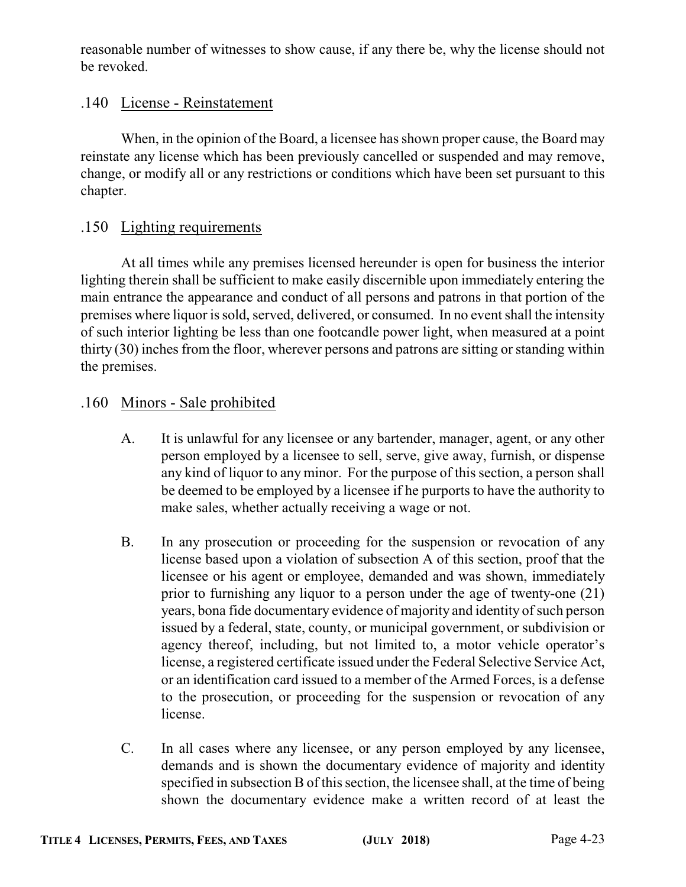reasonable number of witnesses to show cause, if any there be, why the license should not be revoked.

### .140 License - Reinstatement

When, in the opinion of the Board, a licensee has shown proper cause, the Board may reinstate any license which has been previously cancelled or suspended and may remove, change, or modify all or any restrictions or conditions which have been set pursuant to this chapter.

### .150 Lighting requirements

At all times while any premises licensed hereunder is open for business the interior lighting therein shall be sufficient to make easily discernible upon immediately entering the main entrance the appearance and conduct of all persons and patrons in that portion of the premises where liquor is sold, served, delivered, or consumed. In no event shall the intensity of such interior lighting be less than one footcandle power light, when measured at a point thirty (30) inches from the floor, wherever persons and patrons are sitting or standing within the premises.

### .160 Minors - Sale prohibited

- A. It is unlawful for any licensee or any bartender, manager, agent, or any other person employed by a licensee to sell, serve, give away, furnish, or dispense any kind of liquor to any minor. For the purpose of this section, a person shall be deemed to be employed by a licensee if he purports to have the authority to make sales, whether actually receiving a wage or not.
- B. In any prosecution or proceeding for the suspension or revocation of any license based upon a violation of subsection A of this section, proof that the licensee or his agent or employee, demanded and was shown, immediately prior to furnishing any liquor to a person under the age of twenty-one (21) years, bona fide documentary evidence of majority and identity of such person issued by a federal, state, county, or municipal government, or subdivision or agency thereof, including, but not limited to, a motor vehicle operator's license, a registered certificate issued under the Federal Selective Service Act, or an identification card issued to a member of the Armed Forces, is a defense to the prosecution, or proceeding for the suspension or revocation of any license.
- C. In all cases where any licensee, or any person employed by any licensee, demands and is shown the documentary evidence of majority and identity specified in subsection B of this section, the licensee shall, at the time of being shown the documentary evidence make a written record of at least the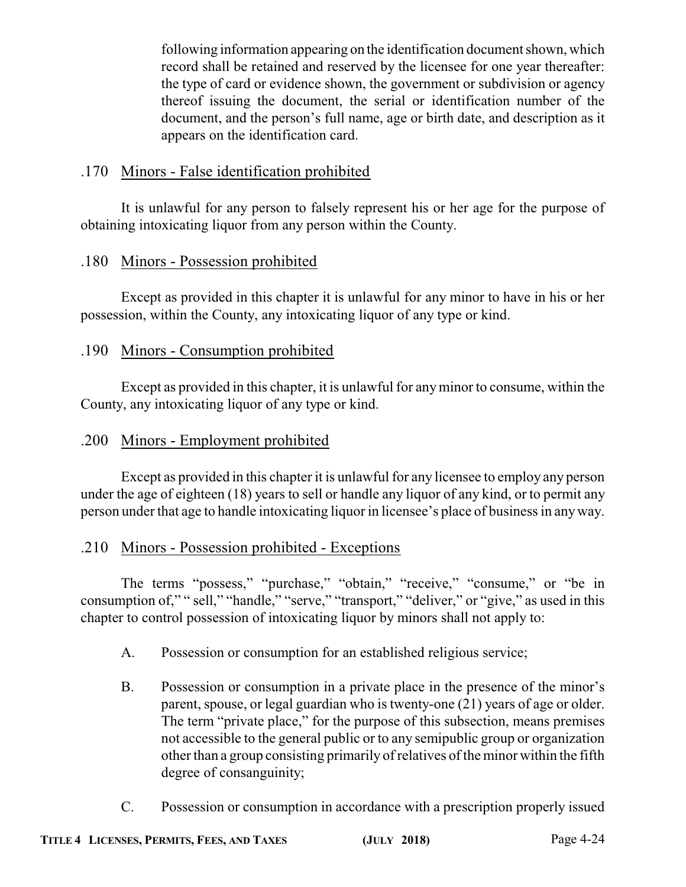following information appearing on the identification document shown, which record shall be retained and reserved by the licensee for one year thereafter: the type of card or evidence shown, the government or subdivision or agency thereof issuing the document, the serial or identification number of the document, and the person's full name, age or birth date, and description as it appears on the identification card.

### .170 Minors - False identification prohibited

It is unlawful for any person to falsely represent his or her age for the purpose of obtaining intoxicating liquor from any person within the County.

### .180 Minors - Possession prohibited

Except as provided in this chapter it is unlawful for any minor to have in his or her possession, within the County, any intoxicating liquor of any type or kind.

### .190 Minors - Consumption prohibited

Except as provided in this chapter, it is unlawful for anyminor to consume, within the County, any intoxicating liquor of any type or kind.

### .200 Minors - Employment prohibited

Except as provided in this chapter it is unlawful for any licensee to employ any person under the age of eighteen (18) years to sell or handle any liquor of any kind, or to permit any person under that age to handle intoxicating liquor in licensee's place of business in anyway.

### .210 Minors - Possession prohibited - Exceptions

The terms "possess," "purchase," "obtain," "receive," "consume," or "be in consumption of," " sell," "handle," "serve," "transport," "deliver," or "give," as used in this chapter to control possession of intoxicating liquor by minors shall not apply to:

- A. Possession or consumption for an established religious service;
- B. Possession or consumption in a private place in the presence of the minor's parent, spouse, or legal guardian who is twenty-one (21) years of age or older. The term "private place," for the purpose of this subsection, means premises not accessible to the general public or to any semipublic group or organization other than a group consisting primarily of relatives of the minor within the fifth degree of consanguinity;
- C. Possession or consumption in accordance with a prescription properly issued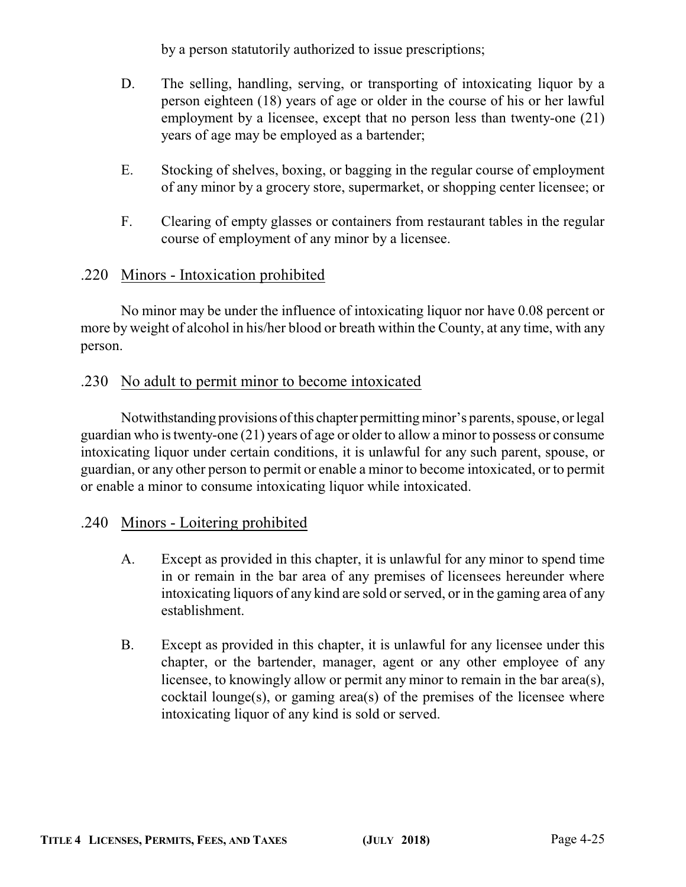by a person statutorily authorized to issue prescriptions;

- D. The selling, handling, serving, or transporting of intoxicating liquor by a person eighteen (18) years of age or older in the course of his or her lawful employment by a licensee, except that no person less than twenty-one (21) years of age may be employed as a bartender;
- E. Stocking of shelves, boxing, or bagging in the regular course of employment of any minor by a grocery store, supermarket, or shopping center licensee; or
- F. Clearing of empty glasses or containers from restaurant tables in the regular course of employment of any minor by a licensee.

### .220 Minors - Intoxication prohibited

No minor may be under the influence of intoxicating liquor nor have 0.08 percent or more by weight of alcohol in his/her blood or breath within the County, at any time, with any person.

### .230 No adult to permit minor to become intoxicated

Notwithstanding provisions of this chapter permitting minor's parents, spouse, or legal guardian who is twenty-one (21) years of age or older to allow a minor to possess or consume intoxicating liquor under certain conditions, it is unlawful for any such parent, spouse, or guardian, or any other person to permit or enable a minor to become intoxicated, or to permit or enable a minor to consume intoxicating liquor while intoxicated.

### .240 Minors - Loitering prohibited

- A. Except as provided in this chapter, it is unlawful for any minor to spend time in or remain in the bar area of any premises of licensees hereunder where intoxicating liquors of any kind are sold or served, or in the gaming area of any establishment.
- B. Except as provided in this chapter, it is unlawful for any licensee under this chapter, or the bartender, manager, agent or any other employee of any licensee, to knowingly allow or permit any minor to remain in the bar area(s),  $cocktail$  lounge $(s)$ , or gaming area $(s)$  of the premises of the licensee where intoxicating liquor of any kind is sold or served.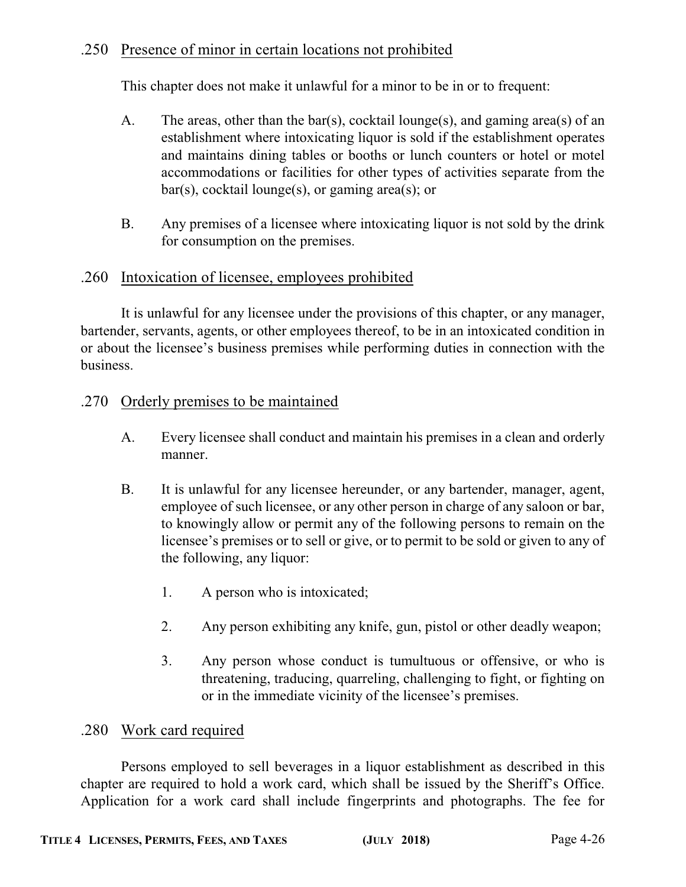### .250 Presence of minor in certain locations not prohibited

This chapter does not make it unlawful for a minor to be in or to frequent:

- A. The areas, other than the bar(s), cocktail lounge(s), and gaming area(s) of an establishment where intoxicating liquor is sold if the establishment operates and maintains dining tables or booths or lunch counters or hotel or motel accommodations or facilities for other types of activities separate from the bar(s), cocktail lounge(s), or gaming area(s); or
- B. Any premises of a licensee where intoxicating liquor is not sold by the drink for consumption on the premises.

#### .260 Intoxication of licensee, employees prohibited

It is unlawful for any licensee under the provisions of this chapter, or any manager, bartender, servants, agents, or other employees thereof, to be in an intoxicated condition in or about the licensee's business premises while performing duties in connection with the business.

#### .270 Orderly premises to be maintained

- A. Every licensee shall conduct and maintain his premises in a clean and orderly manner.
- B. It is unlawful for any licensee hereunder, or any bartender, manager, agent, employee of such licensee, or any other person in charge of any saloon or bar, to knowingly allow or permit any of the following persons to remain on the licensee's premises or to sell or give, or to permit to be sold or given to any of the following, any liquor:
	- 1. A person who is intoxicated;
	- 2. Any person exhibiting any knife, gun, pistol or other deadly weapon;
	- 3. Any person whose conduct is tumultuous or offensive, or who is threatening, traducing, quarreling, challenging to fight, or fighting on or in the immediate vicinity of the licensee's premises.

#### .280 Work card required

Persons employed to sell beverages in a liquor establishment as described in this chapter are required to hold a work card, which shall be issued by the Sheriff's Office. Application for a work card shall include fingerprints and photographs. The fee for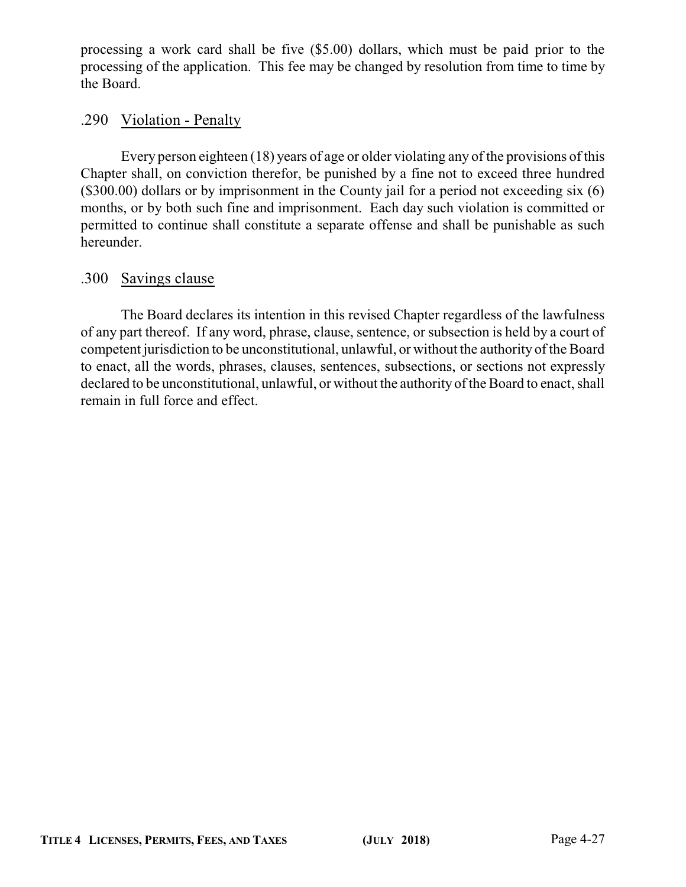processing a work card shall be five (\$5.00) dollars, which must be paid prior to the processing of the application. This fee may be changed by resolution from time to time by the Board.

### .290 Violation - Penalty

Every person eighteen (18) years of age or older violating any of the provisions of this Chapter shall, on conviction therefor, be punished by a fine not to exceed three hundred (\$300.00) dollars or by imprisonment in the County jail for a period not exceeding six (6) months, or by both such fine and imprisonment. Each day such violation is committed or permitted to continue shall constitute a separate offense and shall be punishable as such hereunder.

### .300 Savings clause

The Board declares its intention in this revised Chapter regardless of the lawfulness of any part thereof. If any word, phrase, clause, sentence, or subsection is held by a court of competent jurisdiction to be unconstitutional, unlawful, or without the authority of the Board to enact, all the words, phrases, clauses, sentences, subsections, or sections not expressly declared to be unconstitutional, unlawful, or without the authority of the Board to enact, shall remain in full force and effect.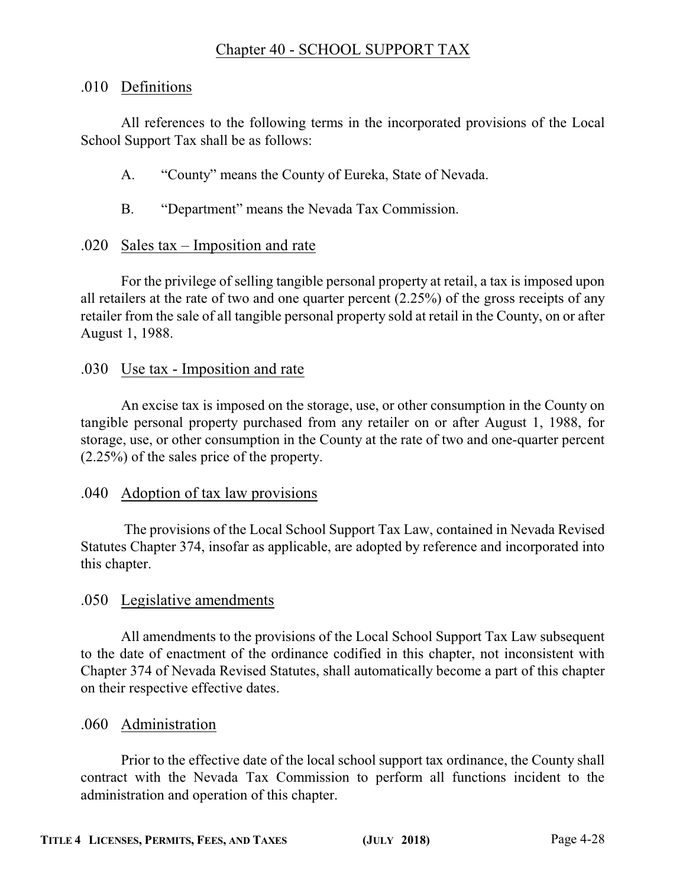### Chapter 40 - SCHOOL SUPPORT TAX

### .010 Definitions

All references to the following terms in the incorporated provisions of the Local School Support Tax shall be as follows:

- A. "County" means the County of Eureka, State of Nevada.
- B. "Department" means the Nevada Tax Commission.

### .020 Sales tax – Imposition and rate

For the privilege of selling tangible personal property at retail, a tax is imposed upon all retailers at the rate of two and one quarter percent (2.25%) of the gross receipts of any retailer from the sale of all tangible personal property sold at retail in the County, on or after August 1, 1988.

### .030 Use tax - Imposition and rate

An excise tax is imposed on the storage, use, or other consumption in the County on tangible personal property purchased from any retailer on or after August 1, 1988, for storage, use, or other consumption in the County at the rate of two and one-quarter percent (2.25%) of the sales price of the property.

### .040 Adoption of tax law provisions

The provisions of the Local School Support Tax Law, contained in Nevada Revised Statutes Chapter 374, insofar as applicable, are adopted by reference and incorporated into this chapter.

### .050 Legislative amendments

All amendments to the provisions of the Local School Support Tax Law subsequent to the date of enactment of the ordinance codified in this chapter, not inconsistent with Chapter 374 of Nevada Revised Statutes, shall automatically become a part of this chapter on their respective effective dates.

### .060 Administration

Prior to the effective date of the local school support tax ordinance, the County shall contract with the Nevada Tax Commission to perform all functions incident to the administration and operation of this chapter.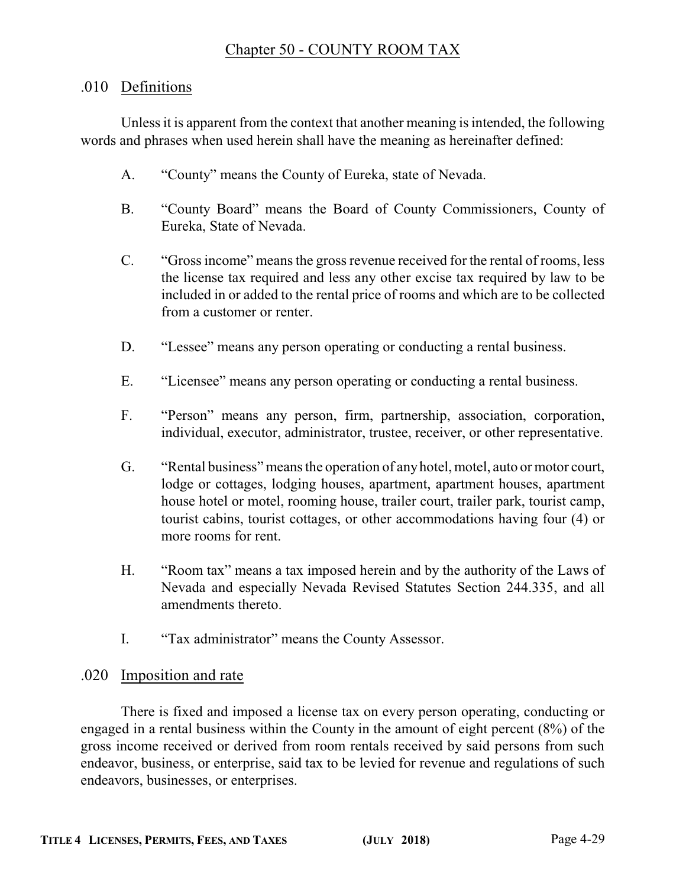### Chapter 50 - COUNTY ROOM TAX

### .010 Definitions

Unless it is apparent from the context that another meaning is intended, the following words and phrases when used herein shall have the meaning as hereinafter defined:

- A. "County" means the County of Eureka, state of Nevada.
- B. "County Board" means the Board of County Commissioners, County of Eureka, State of Nevada.
- C. "Gross income" means the gross revenue received for the rental of rooms, less the license tax required and less any other excise tax required by law to be included in or added to the rental price of rooms and which are to be collected from a customer or renter.
- D. "Lessee" means any person operating or conducting a rental business.
- E. "Licensee" means any person operating or conducting a rental business.
- F. "Person" means any person, firm, partnership, association, corporation, individual, executor, administrator, trustee, receiver, or other representative.
- G. "Rental business" means the operation of anyhotel, motel, auto or motor court, lodge or cottages, lodging houses, apartment, apartment houses, apartment house hotel or motel, rooming house, trailer court, trailer park, tourist camp, tourist cabins, tourist cottages, or other accommodations having four (4) or more rooms for rent.
- H. "Room tax" means a tax imposed herein and by the authority of the Laws of Nevada and especially Nevada Revised Statutes Section 244.335, and all amendments thereto.
- I. "Tax administrator" means the County Assessor.

### .020 Imposition and rate

There is fixed and imposed a license tax on every person operating, conducting or engaged in a rental business within the County in the amount of eight percent (8%) of the gross income received or derived from room rentals received by said persons from such endeavor, business, or enterprise, said tax to be levied for revenue and regulations of such endeavors, businesses, or enterprises.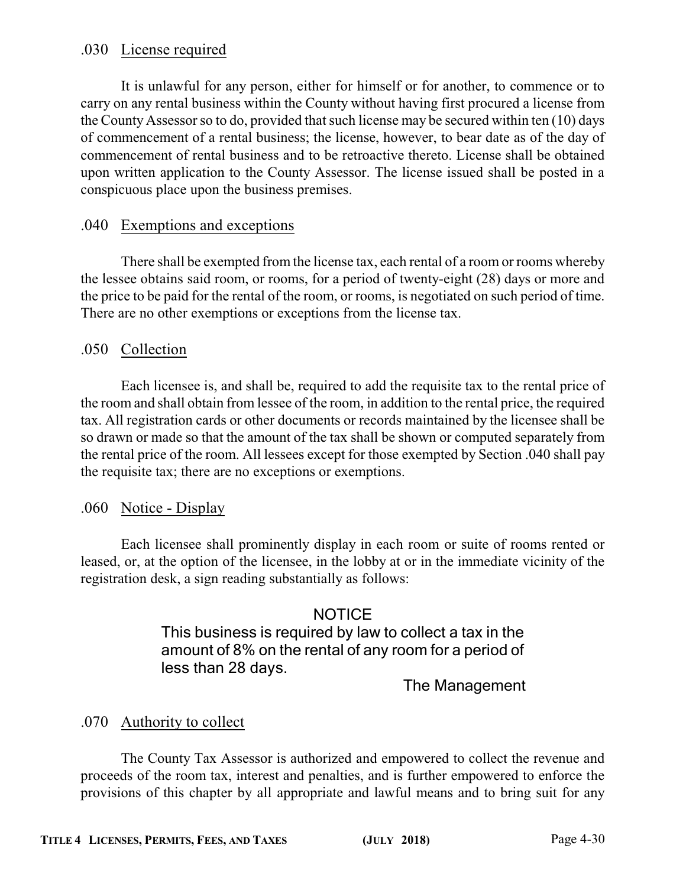### .030 License required

It is unlawful for any person, either for himself or for another, to commence or to carry on any rental business within the County without having first procured a license from the County Assessor so to do, provided that such license may be secured within ten (10) days of commencement of a rental business; the license, however, to bear date as of the day of commencement of rental business and to be retroactive thereto. License shall be obtained upon written application to the County Assessor. The license issued shall be posted in a conspicuous place upon the business premises.

### .040 Exemptions and exceptions

There shall be exempted from the license tax, each rental of a room or rooms whereby the lessee obtains said room, or rooms, for a period of twenty-eight (28) days or more and the price to be paid for the rental of the room, or rooms, is negotiated on such period of time. There are no other exemptions or exceptions from the license tax.

### .050 Collection

Each licensee is, and shall be, required to add the requisite tax to the rental price of the room and shall obtain from lessee of the room, in addition to the rental price, the required tax. All registration cards or other documents or records maintained by the licensee shall be so drawn or made so that the amount of the tax shall be shown or computed separately from the rental price of the room. All lessees except for those exempted by Section .040 shall pay the requisite tax; there are no exceptions or exemptions.

### .060 Notice - Display

Each licensee shall prominently display in each room or suite of rooms rented or leased, or, at the option of the licensee, in the lobby at or in the immediate vicinity of the registration desk, a sign reading substantially as follows:

### **NOTICE**

This business is required by law to collect a tax in the amount of 8% on the rental of any room for a period of less than 28 days.

### The Management

### .070 Authority to collect

The County Tax Assessor is authorized and empowered to collect the revenue and proceeds of the room tax, interest and penalties, and is further empowered to enforce the provisions of this chapter by all appropriate and lawful means and to bring suit for any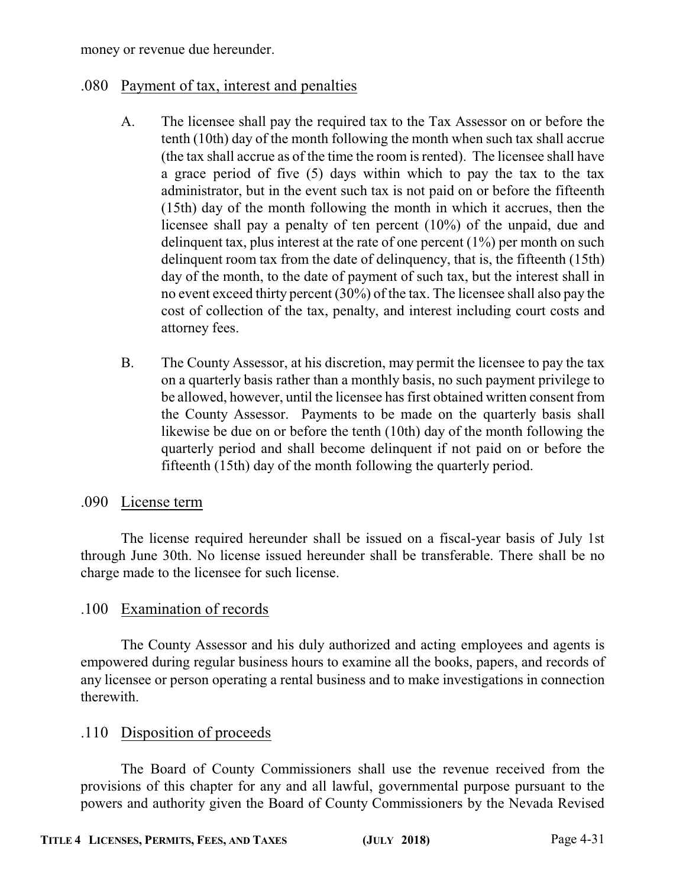money or revenue due hereunder.

### .080 Payment of tax, interest and penalties

- A. The licensee shall pay the required tax to the Tax Assessor on or before the tenth (10th) day of the month following the month when such tax shall accrue (the tax shall accrue as of the time the room is rented). The licensee shall have a grace period of five (5) days within which to pay the tax to the tax administrator, but in the event such tax is not paid on or before the fifteenth (15th) day of the month following the month in which it accrues, then the licensee shall pay a penalty of ten percent (10%) of the unpaid, due and delinquent tax, plus interest at the rate of one percent  $(1\%)$  per month on such delinquent room tax from the date of delinquency, that is, the fifteenth (15th) day of the month, to the date of payment of such tax, but the interest shall in no event exceed thirty percent (30%) of the tax. The licensee shall also pay the cost of collection of the tax, penalty, and interest including court costs and attorney fees.
- B. The County Assessor, at his discretion, may permit the licensee to pay the tax on a quarterly basis rather than a monthly basis, no such payment privilege to be allowed, however, until the licensee has first obtained written consent from the County Assessor. Payments to be made on the quarterly basis shall likewise be due on or before the tenth (10th) day of the month following the quarterly period and shall become delinquent if not paid on or before the fifteenth (15th) day of the month following the quarterly period.

### .090 License term

The license required hereunder shall be issued on a fiscal-year basis of July 1st through June 30th. No license issued hereunder shall be transferable. There shall be no charge made to the licensee for such license.

### .100 Examination of records

The County Assessor and his duly authorized and acting employees and agents is empowered during regular business hours to examine all the books, papers, and records of any licensee or person operating a rental business and to make investigations in connection therewith.

### .110 Disposition of proceeds

The Board of County Commissioners shall use the revenue received from the provisions of this chapter for any and all lawful, governmental purpose pursuant to the powers and authority given the Board of County Commissioners by the Nevada Revised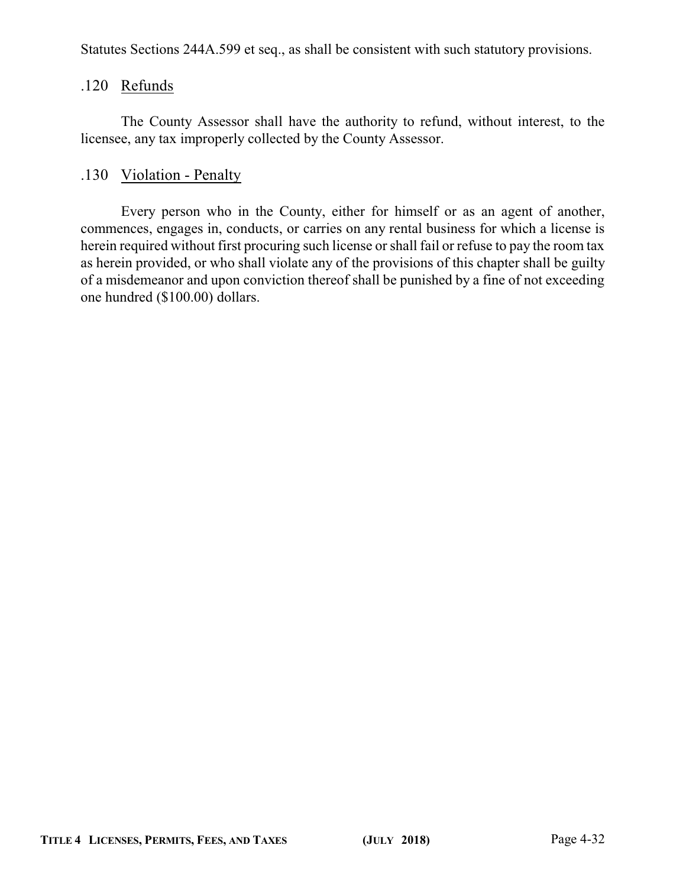Statutes Sections 244A.599 et seq., as shall be consistent with such statutory provisions.

#### .120 Refunds

The County Assessor shall have the authority to refund, without interest, to the licensee, any tax improperly collected by the County Assessor.

### .130 Violation - Penalty

Every person who in the County, either for himself or as an agent of another, commences, engages in, conducts, or carries on any rental business for which a license is herein required without first procuring such license or shall fail or refuse to pay the room tax as herein provided, or who shall violate any of the provisions of this chapter shall be guilty of a misdemeanor and upon conviction thereof shall be punished by a fine of not exceeding one hundred (\$100.00) dollars.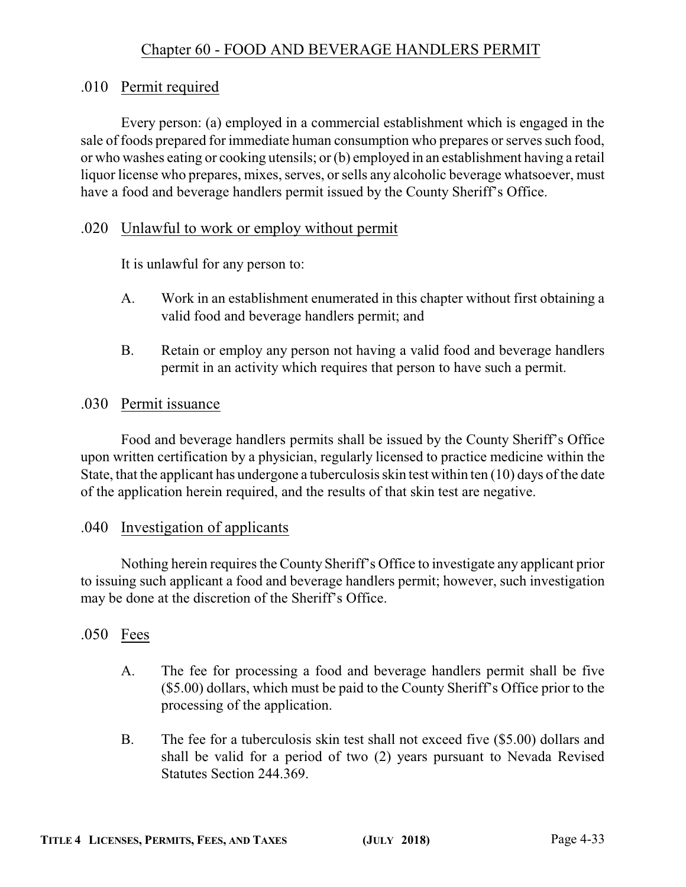### Chapter 60 - FOOD AND BEVERAGE HANDLERS PERMIT

### .010 Permit required

Every person: (a) employed in a commercial establishment which is engaged in the sale of foods prepared for immediate human consumption who prepares or serves such food, or who washes eating or cooking utensils; or (b) employed in an establishment having a retail liquor license who prepares, mixes, serves, or sells any alcoholic beverage whatsoever, must have a food and beverage handlers permit issued by the County Sheriff's Office.

### .020 Unlawful to work or employ without permit

It is unlawful for any person to:

- A. Work in an establishment enumerated in this chapter without first obtaining a valid food and beverage handlers permit; and
- B. Retain or employ any person not having a valid food and beverage handlers permit in an activity which requires that person to have such a permit.

### .030 Permit issuance

Food and beverage handlers permits shall be issued by the County Sheriff's Office upon written certification by a physician, regularly licensed to practice medicine within the State, that the applicant has undergone a tuberculosis skin test within ten (10) days of the date of the application herein required, and the results of that skin test are negative.

### .040 Investigation of applicants

Nothing herein requires the County Sheriff's Office to investigate any applicant prior to issuing such applicant a food and beverage handlers permit; however, such investigation may be done at the discretion of the Sheriff's Office.

### .050 Fees

- A. The fee for processing a food and beverage handlers permit shall be five (\$5.00) dollars, which must be paid to the County Sheriff's Office prior to the processing of the application.
- B. The fee for a tuberculosis skin test shall not exceed five (\$5.00) dollars and shall be valid for a period of two (2) years pursuant to Nevada Revised Statutes Section 244.369.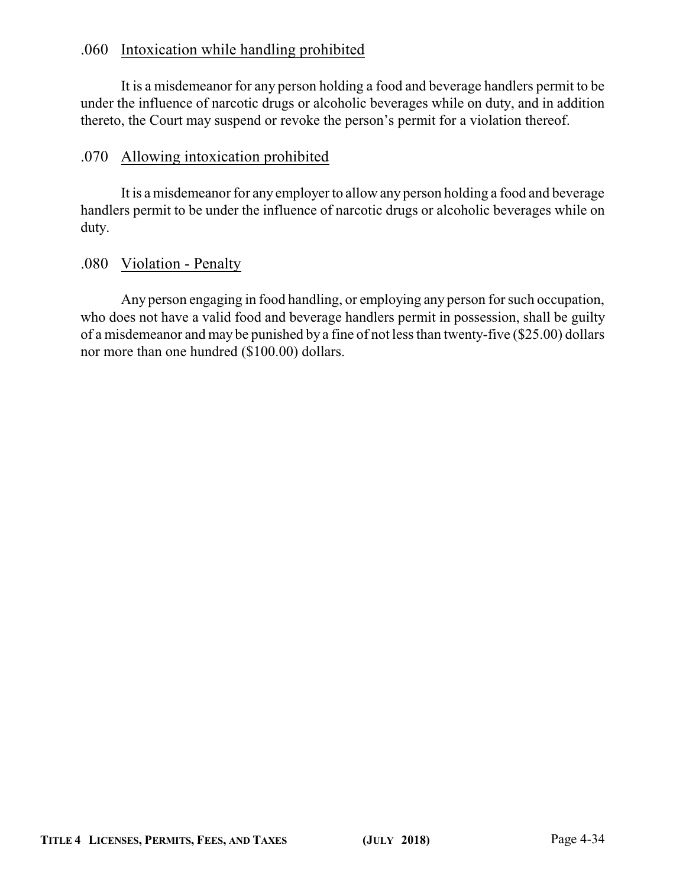### .060 Intoxication while handling prohibited

It is a misdemeanor for any person holding a food and beverage handlers permit to be under the influence of narcotic drugs or alcoholic beverages while on duty, and in addition thereto, the Court may suspend or revoke the person's permit for a violation thereof.

### .070 Allowing intoxication prohibited

It is a misdemeanor for any employer to allow any person holding a food and beverage handlers permit to be under the influence of narcotic drugs or alcoholic beverages while on duty.

### .080 Violation - Penalty

Any person engaging in food handling, or employing any person for such occupation, who does not have a valid food and beverage handlers permit in possession, shall be guilty of a misdemeanor and may be punished by a fine of not less than twenty-five (\$25.00) dollars nor more than one hundred (\$100.00) dollars.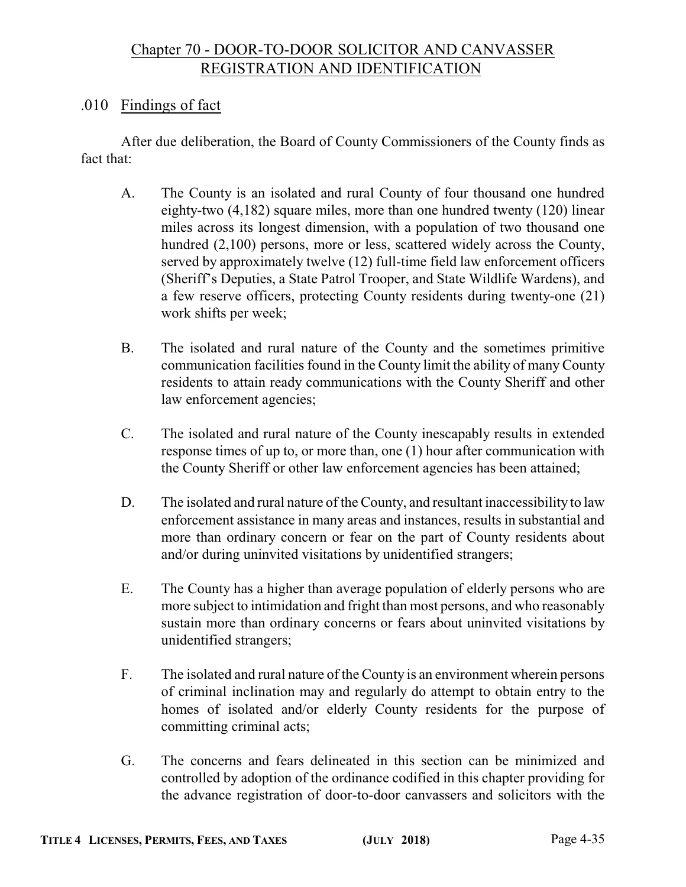### Chapter 70 - DOOR-TO-DOOR SOLICITOR AND CANVASSER REGISTRATION AND IDENTIFICATION

### .010 Findings of fact

After due deliberation, the Board of County Commissioners of the County finds as fact that:

- A. The County is an isolated and rural County of four thousand one hundred eighty-two (4,182) square miles, more than one hundred twenty (120) linear miles across its longest dimension, with a population of two thousand one hundred (2,100) persons, more or less, scattered widely across the County, served by approximately twelve (12) full-time field law enforcement officers (Sheriff's Deputies, a State Patrol Trooper, and State Wildlife Wardens), and a few reserve officers, protecting County residents during twenty-one (21) work shifts per week;
- B. The isolated and rural nature of the County and the sometimes primitive communication facilities found in the County limit the ability of many County residents to attain ready communications with the County Sheriff and other law enforcement agencies;
- C. The isolated and rural nature of the County inescapably results in extended response times of up to, or more than, one (1) hour after communication with the County Sheriff or other law enforcement agencies has been attained;
- D. The isolated and rural nature of the County, and resultant inaccessibility to law enforcement assistance in many areas and instances, results in substantial and more than ordinary concern or fear on the part of County residents about and/or during uninvited visitations by unidentified strangers;
- E. The County has a higher than average population of elderly persons who are more subject to intimidation and fright than most persons, and who reasonably sustain more than ordinary concerns or fears about uninvited visitations by unidentified strangers;
- F. The isolated and rural nature of the County is an environment wherein persons of criminal inclination may and regularly do attempt to obtain entry to the homes of isolated and/or elderly County residents for the purpose of committing criminal acts;
- G. The concerns and fears delineated in this section can be minimized and controlled by adoption of the ordinance codified in this chapter providing for the advance registration of door-to-door canvassers and solicitors with the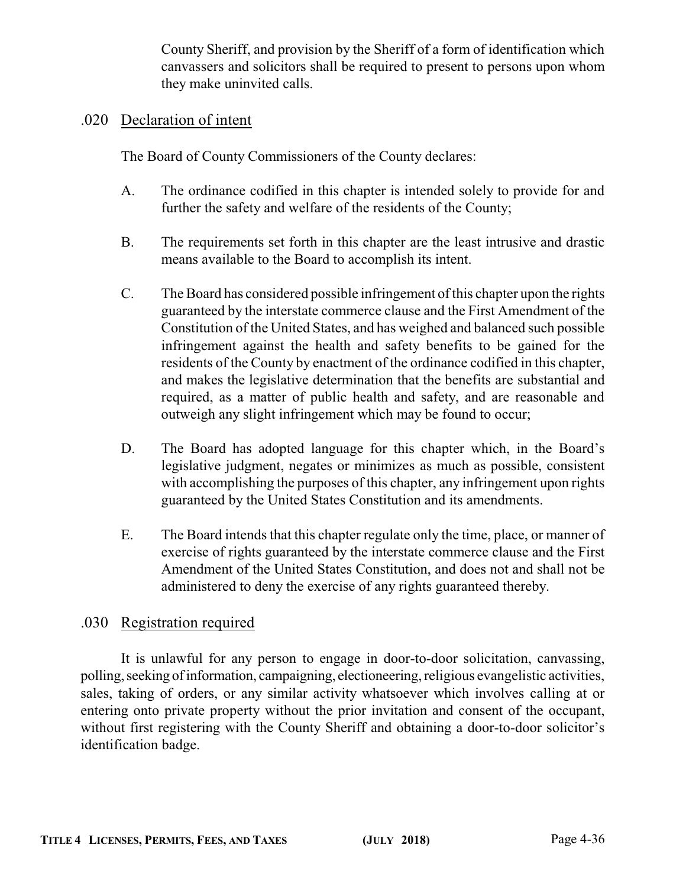County Sheriff, and provision by the Sheriff of a form of identification which canvassers and solicitors shall be required to present to persons upon whom they make uninvited calls.

#### .020 Declaration of intent

The Board of County Commissioners of the County declares:

- A. The ordinance codified in this chapter is intended solely to provide for and further the safety and welfare of the residents of the County;
- B. The requirements set forth in this chapter are the least intrusive and drastic means available to the Board to accomplish its intent.
- C. The Board has considered possible infringement ofthis chapter upon the rights guaranteed by the interstate commerce clause and the First Amendment of the Constitution of the United States, and has weighed and balanced such possible infringement against the health and safety benefits to be gained for the residents of the County by enactment of the ordinance codified in this chapter, and makes the legislative determination that the benefits are substantial and required, as a matter of public health and safety, and are reasonable and outweigh any slight infringement which may be found to occur;
- D. The Board has adopted language for this chapter which, in the Board's legislative judgment, negates or minimizes as much as possible, consistent with accomplishing the purposes of this chapter, any infringement upon rights guaranteed by the United States Constitution and its amendments.
- E. The Board intends that this chapter regulate only the time, place, or manner of exercise of rights guaranteed by the interstate commerce clause and the First Amendment of the United States Constitution, and does not and shall not be administered to deny the exercise of any rights guaranteed thereby.

### .030 Registration required

It is unlawful for any person to engage in door-to-door solicitation, canvassing, polling, seeking of information, campaigning, electioneering, religious evangelistic activities, sales, taking of orders, or any similar activity whatsoever which involves calling at or entering onto private property without the prior invitation and consent of the occupant, without first registering with the County Sheriff and obtaining a door-to-door solicitor's identification badge.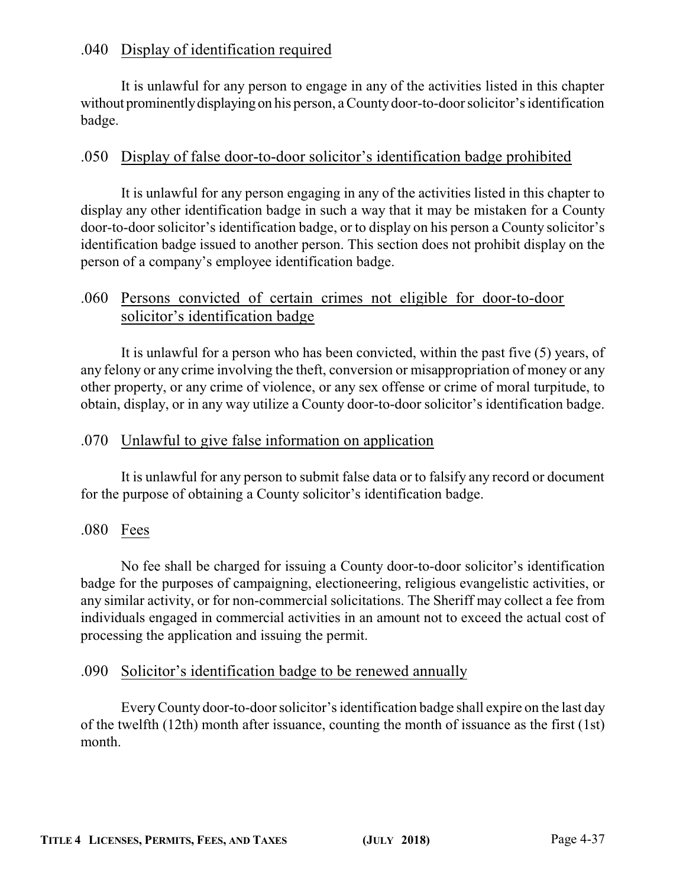### .040 Display of identification required

It is unlawful for any person to engage in any of the activities listed in this chapter without prominentlydisplaying on his person, a Countydoor-to-door solicitor's identification badge.

### .050 Display of false door-to-door solicitor's identification badge prohibited

It is unlawful for any person engaging in any of the activities listed in this chapter to display any other identification badge in such a way that it may be mistaken for a County door-to-door solicitor's identification badge, or to display on his person a County solicitor's identification badge issued to another person. This section does not prohibit display on the person of a company's employee identification badge.

### .060 Persons convicted of certain crimes not eligible for door-to-door solicitor's identification badge

It is unlawful for a person who has been convicted, within the past five (5) years, of any felony or any crime involving the theft, conversion or misappropriation of money or any other property, or any crime of violence, or any sex offense or crime of moral turpitude, to obtain, display, or in any way utilize a County door-to-door solicitor's identification badge.

### .070 Unlawful to give false information on application

It is unlawful for any person to submit false data or to falsify any record or document for the purpose of obtaining a County solicitor's identification badge.

### .080 Fees

No fee shall be charged for issuing a County door-to-door solicitor's identification badge for the purposes of campaigning, electioneering, religious evangelistic activities, or any similar activity, or for non-commercial solicitations. The Sheriff may collect a fee from individuals engaged in commercial activities in an amount not to exceed the actual cost of processing the application and issuing the permit.

### .090 Solicitor's identification badge to be renewed annually

EveryCounty door-to-door solicitor's identification badge shall expire on the last day of the twelfth (12th) month after issuance, counting the month of issuance as the first (1st) month.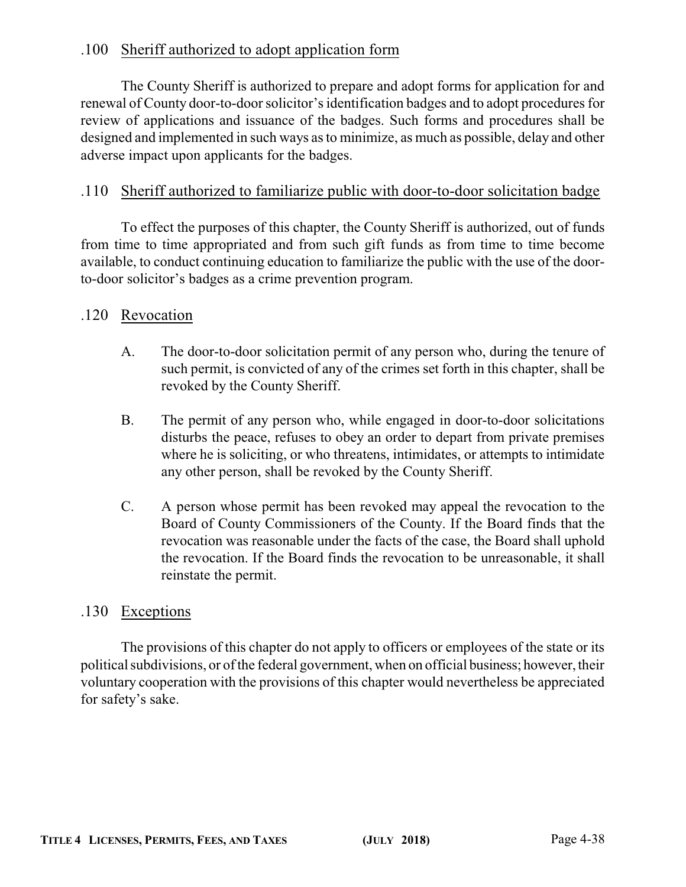### .100 Sheriff authorized to adopt application form

The County Sheriff is authorized to prepare and adopt forms for application for and renewal of County door-to-door solicitor's identification badges and to adopt procedures for review of applications and issuance of the badges. Such forms and procedures shall be designed and implemented in such ways as to minimize, as much as possible, delay and other adverse impact upon applicants for the badges.

### .110 Sheriff authorized to familiarize public with door-to-door solicitation badge

To effect the purposes of this chapter, the County Sheriff is authorized, out of funds from time to time appropriated and from such gift funds as from time to time become available, to conduct continuing education to familiarize the public with the use of the doorto-door solicitor's badges as a crime prevention program.

### .120 Revocation

- A. The door-to-door solicitation permit of any person who, during the tenure of such permit, is convicted of any of the crimes set forth in this chapter, shall be revoked by the County Sheriff.
- B. The permit of any person who, while engaged in door-to-door solicitations disturbs the peace, refuses to obey an order to depart from private premises where he is soliciting, or who threatens, intimidates, or attempts to intimidate any other person, shall be revoked by the County Sheriff.
- C. A person whose permit has been revoked may appeal the revocation to the Board of County Commissioners of the County. If the Board finds that the revocation was reasonable under the facts of the case, the Board shall uphold the revocation. If the Board finds the revocation to be unreasonable, it shall reinstate the permit.

### .130 Exceptions

The provisions of this chapter do not apply to officers or employees of the state or its political subdivisions, or of the federal government, when on official business; however, their voluntary cooperation with the provisions of this chapter would nevertheless be appreciated for safety's sake.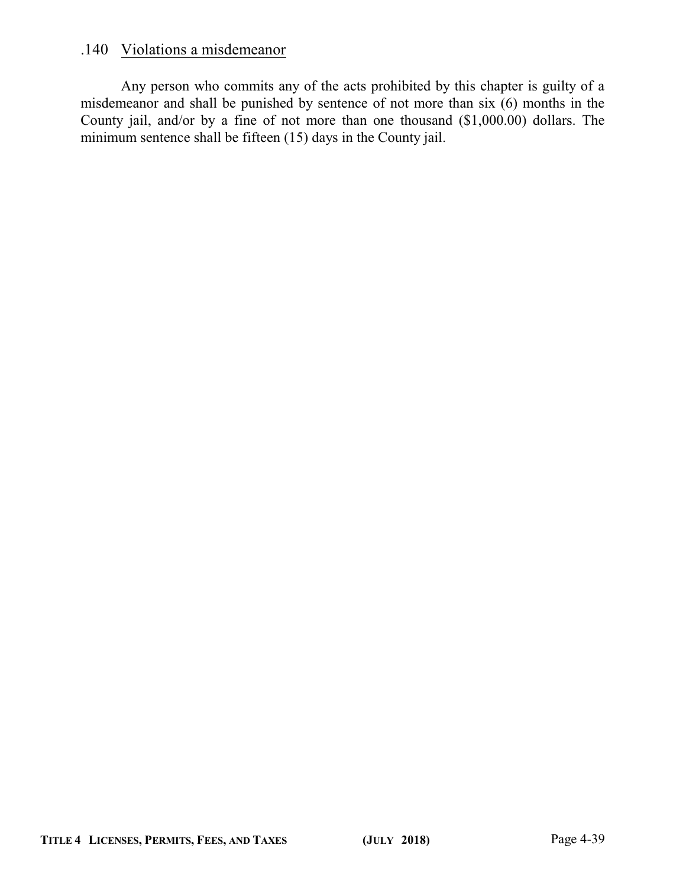### .140 Violations a misdemeanor

Any person who commits any of the acts prohibited by this chapter is guilty of a misdemeanor and shall be punished by sentence of not more than six (6) months in the County jail, and/or by a fine of not more than one thousand (\$1,000.00) dollars. The minimum sentence shall be fifteen (15) days in the County jail.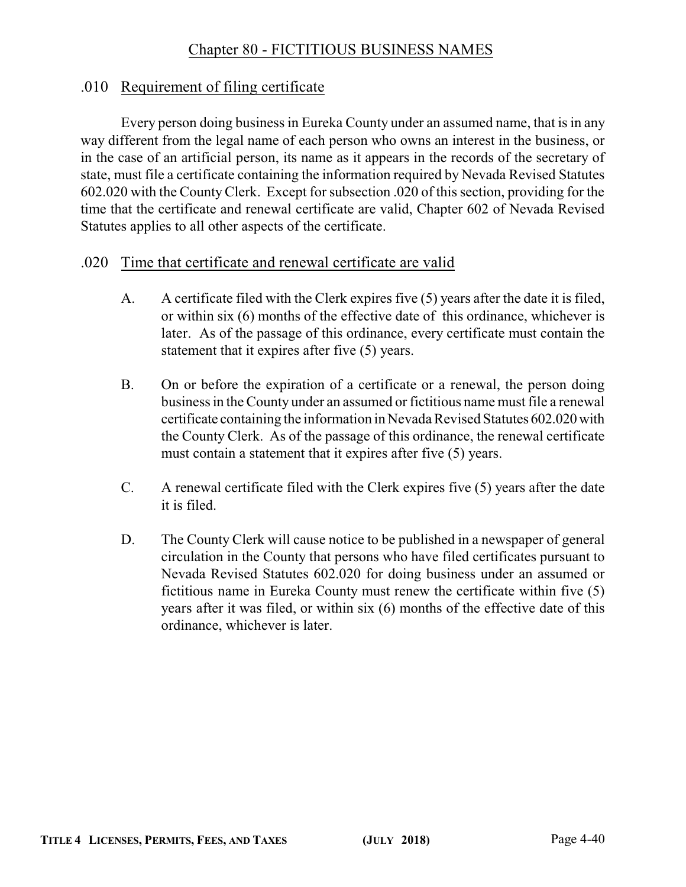### Chapter 80 - FICTITIOUS BUSINESS NAMES

#### .010 Requirement of filing certificate

Every person doing business in Eureka County under an assumed name, that is in any way different from the legal name of each person who owns an interest in the business, or in the case of an artificial person, its name as it appears in the records of the secretary of state, must file a certificate containing the information required by Nevada Revised Statutes 602.020 with the CountyClerk. Except for subsection .020 of this section, providing for the time that the certificate and renewal certificate are valid, Chapter 602 of Nevada Revised Statutes applies to all other aspects of the certificate.

#### .020 Time that certificate and renewal certificate are valid

- A. A certificate filed with the Clerk expires five (5) years after the date it is filed, or within six (6) months of the effective date of this ordinance, whichever is later. As of the passage of this ordinance, every certificate must contain the statement that it expires after five (5) years.
- B. On or before the expiration of a certificate or a renewal, the person doing business in the County under an assumed or fictitious name must file a renewal certificate containing the information in Nevada Revised Statutes 602.020 with the County Clerk. As of the passage of this ordinance, the renewal certificate must contain a statement that it expires after five (5) years.
- C. A renewal certificate filed with the Clerk expires five (5) years after the date it is filed.
- D. The County Clerk will cause notice to be published in a newspaper of general circulation in the County that persons who have filed certificates pursuant to Nevada Revised Statutes 602.020 for doing business under an assumed or fictitious name in Eureka County must renew the certificate within five (5) years after it was filed, or within six (6) months of the effective date of this ordinance, whichever is later.